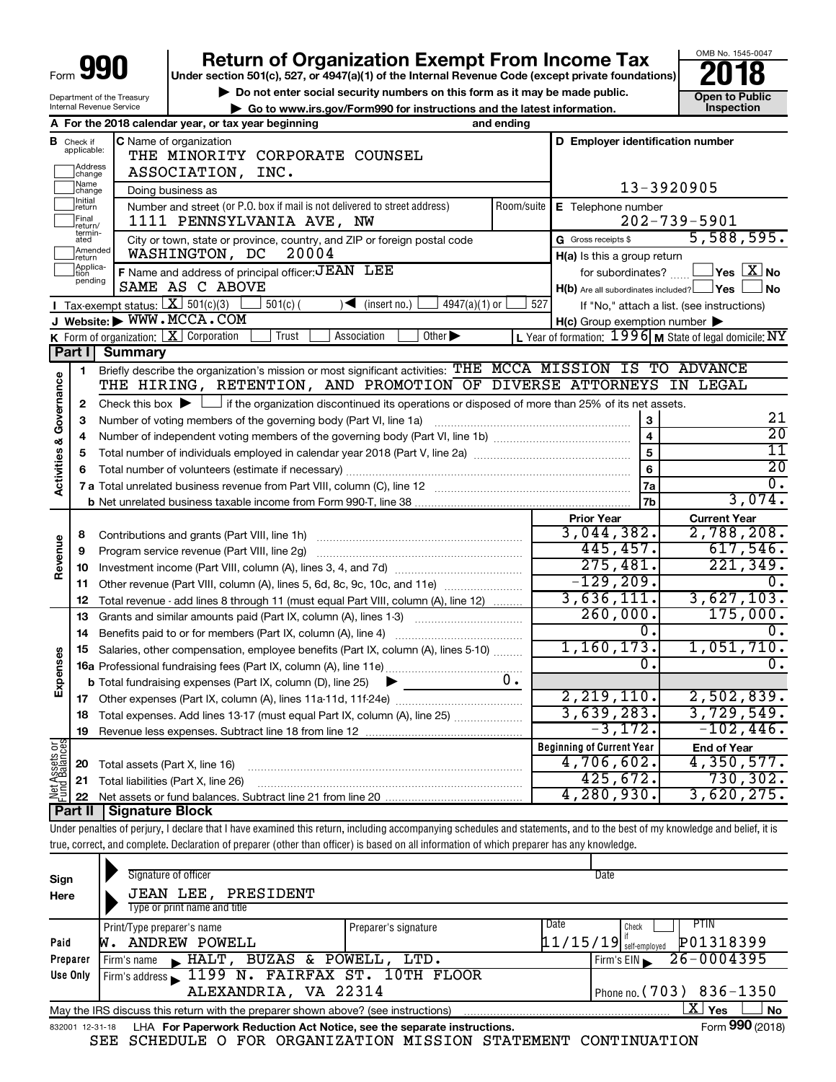# **Return of Organization Exempt From Income Tax**<br>r section 501(c), 527, or 4947(a)(1) of the Internal Revenue Code (except private foundations)<br>**2018**

**Under section 501(c), 527, or 4947(a)(1) of the Internal Revenue Code (except private foundations)**

**b** Do not enter social security numbers on this form as it may be made public.<br> **Go to www.irs.gov/Form990 for instructions and the latest information. This impection | Go to www.irs.gov/Form990 for instructions and the latest information. Inspection**



Department of the Treasury Internal Revenue Service

|                         |                                    | A For the 2018 calendar year, or tax year beginning                                                                                         | and ending              |                                                     |                                                           |  |  |  |
|-------------------------|------------------------------------|---------------------------------------------------------------------------------------------------------------------------------------------|-------------------------|-----------------------------------------------------|-----------------------------------------------------------|--|--|--|
| в                       | Check if<br>applicable:<br>Address | <b>C</b> Name of organization<br>THE MINORITY CORPORATE COUNSEL                                                                             |                         | D Employer identification number                    |                                                           |  |  |  |
|                         | change<br>Name                     | ASSOCIATION, INC.                                                                                                                           |                         | 13-3920905                                          |                                                           |  |  |  |
|                         | change<br>Initial                  |                                                                                                                                             | Doing business as       |                                                     |                                                           |  |  |  |
|                         | return<br>Final                    | Number and street (or P.O. box if mail is not delivered to street address)<br>1111 PENNSYLVANIA AVE, NW                                     | Room/suite              | E Telephone number                                  | $202 - 739 - 5901$                                        |  |  |  |
|                         | return/<br>termin-<br>ated         | City or town, state or province, country, and ZIP or foreign postal code                                                                    |                         | G Gross receipts \$                                 | 5,588,595.                                                |  |  |  |
|                         | Amended<br>return                  | WASHINGTON, DC<br>20004                                                                                                                     |                         | $H(a)$ is this a group return                       |                                                           |  |  |  |
|                         | Applica-<br>Ition                  | F Name and address of principal officer: JEAN LEE                                                                                           |                         | for subordinates?                                   | $\overline{\ }$ Yes $\overline{\rm X}$ No                 |  |  |  |
|                         | pending                            | SAME AS C ABOVE                                                                                                                             |                         | $H(b)$ Are all subordinates included? $\Box$ Yes    | l No                                                      |  |  |  |
|                         |                                    | <b>I</b> Tax-exempt status: $X \overline{301(c)(3)}$<br>$\sqrt{\frac{1}{1}}$ (insert no.)<br>$4947(a)(1)$ or<br>$501(c)$ (                  | 527                     |                                                     | If "No," attach a list. (see instructions)                |  |  |  |
|                         |                                    | J Website: WWW.MCCA.COM                                                                                                                     |                         | $H(c)$ Group exemption number $\blacktriangleright$ |                                                           |  |  |  |
|                         |                                    | K Form of organization: $X$ Corporation<br>Trust<br>Association<br>Other $\blacktriangleright$                                              |                         |                                                     | L Year of formation: $1996$ M State of legal domicile: NY |  |  |  |
|                         | Part I                             | <b>Summary</b>                                                                                                                              |                         |                                                     |                                                           |  |  |  |
|                         | 1                                  | Briefly describe the organization's mission or most significant activities: THE MCCA MISSION IS TO ADVANCE                                  |                         |                                                     |                                                           |  |  |  |
|                         |                                    | THE HIRING, RETENTION, AND PROMOTION OF DIVERSE ATTORNEYS IN LEGAL                                                                          |                         |                                                     |                                                           |  |  |  |
| Governance              | $\mathbf{2}$                       | Check this box $\blacktriangleright$ $\Box$ if the organization discontinued its operations or disposed of more than 25% of its net assets. |                         |                                                     |                                                           |  |  |  |
|                         | 3                                  | Number of voting members of the governing body (Part VI, line 1a)                                                                           |                         | 3                                                   | 21                                                        |  |  |  |
|                         | 4                                  |                                                                                                                                             | $\overline{\mathbf{4}}$ | $\overline{20}$                                     |                                                           |  |  |  |
|                         | 5                                  |                                                                                                                                             | $\overline{5}$          | 11                                                  |                                                           |  |  |  |
| <b>Activities &amp;</b> | 6                                  |                                                                                                                                             | 6                       | $\overline{20}$                                     |                                                           |  |  |  |
|                         |                                    |                                                                                                                                             |                         | 7a                                                  | $\overline{0}$ .                                          |  |  |  |
|                         |                                    |                                                                                                                                             | 7b                      | 3,074.                                              |                                                           |  |  |  |
|                         |                                    |                                                                                                                                             |                         | <b>Prior Year</b>                                   | <b>Current Year</b>                                       |  |  |  |
|                         | 8                                  | Contributions and grants (Part VIII, line 1h)                                                                                               |                         | 3,044,382.                                          | 2,788,208.                                                |  |  |  |
| Revenue                 | 9                                  | Program service revenue (Part VIII, line 2g)                                                                                                |                         | 445,457.                                            | 617,546.                                                  |  |  |  |
|                         | 10                                 |                                                                                                                                             |                         | 275,481.                                            | 221, 349.                                                 |  |  |  |
|                         | 11                                 | Other revenue (Part VIII, column (A), lines 5, 6d, 8c, 9c, 10c, and 11e)                                                                    |                         | $-129, 209.$                                        | 0.                                                        |  |  |  |
|                         | 12                                 | Total revenue - add lines 8 through 11 (must equal Part VIII, column (A), line 12)                                                          |                         | 3,636,111.                                          | 3,627,103.                                                |  |  |  |
|                         | 13                                 | Grants and similar amounts paid (Part IX, column (A), lines 1-3)                                                                            |                         | 260,000.                                            | 175,000.                                                  |  |  |  |
|                         | 14                                 | Benefits paid to or for members (Part IX, column (A), line 4)                                                                               |                         | 0.                                                  | 0.                                                        |  |  |  |
|                         | 15                                 | Salaries, other compensation, employee benefits (Part IX, column (A), lines 5-10)                                                           |                         | 1,160,173.                                          | 1,051,710.                                                |  |  |  |
| Expenses                |                                    |                                                                                                                                             |                         | 0.                                                  | $\overline{0}$ .                                          |  |  |  |
|                         |                                    | <b>b</b> Total fundraising expenses (Part IX, column (D), line 25)                                                                          | О.                      | 2, 219, 110.                                        |                                                           |  |  |  |
|                         |                                    |                                                                                                                                             |                         |                                                     | 2,502,839.                                                |  |  |  |
|                         | 18                                 | Total expenses. Add lines 13-17 (must equal Part IX, column (A), line 25)                                                                   |                         | 3,639,283.<br>$-3,172.$                             | 3,729,549.<br>$-102,446.$                                 |  |  |  |
|                         | 19                                 |                                                                                                                                             |                         |                                                     |                                                           |  |  |  |
| <b>bes</b>              |                                    |                                                                                                                                             |                         | <b>Beginning of Current Year</b><br>4,706,602.      | <b>End of Year</b><br>4,350,577.                          |  |  |  |
| Assets                  | 20                                 | Total assets (Part X, line 16)                                                                                                              |                         | 425,672.                                            | 730, 302.                                                 |  |  |  |
| 호급<br>무근                | 21                                 | Total liabilities (Part X, line 26)                                                                                                         |                         | 4,280,930.                                          | 3,620,275.                                                |  |  |  |
|                         | 22<br>Part II                      | <b>Signature Block</b>                                                                                                                      |                         |                                                     |                                                           |  |  |  |
|                         |                                    |                                                                                                                                             |                         |                                                     |                                                           |  |  |  |

Under penalties of perjury, I declare that I have examined this return, including accompanying schedules and statements, and to the best of my knowledge and belief, it is true, correct, and complete. Declaration of preparer (other than officer) is based on all information of which preparer has any knowledge.

| Sign<br>Here                                                                                                  | Signature of officer<br>JEAN LEE, PRESIDENT<br>Type or print name and title                                       |                      | Date                                                           |  |  |  |  |  |  |  |
|---------------------------------------------------------------------------------------------------------------|-------------------------------------------------------------------------------------------------------------------|----------------------|----------------------------------------------------------------|--|--|--|--|--|--|--|
| Paid                                                                                                          | Print/Type preparer's name<br>ANDREW POWELL                                                                       | Preparer's signature | Date<br>PTIN<br>Check<br>P01318399<br>$11/15/19$ self-employed |  |  |  |  |  |  |  |
| Preparer                                                                                                      | BUZAS & POWELL, LTD.<br>Firm's name $HALT$ ,                                                                      |                      | $26 - 0004395$<br>Firm's EIN                                   |  |  |  |  |  |  |  |
| Firm's address 1199 N. FAIRFAX ST. 10TH FLOOR<br>Use Only<br>ALEXANDRIA, VA 22314<br>Phone no. (703) 836-1350 |                                                                                                                   |                      |                                                                |  |  |  |  |  |  |  |
|                                                                                                               | $X \mid$<br><b>No</b><br>Yes<br>May the IRS discuss this return with the preparer shown above? (see instructions) |                      |                                                                |  |  |  |  |  |  |  |
|                                                                                                               | Form 990 (2018)<br>LHA For Paperwork Reduction Act Notice, see the separate instructions.<br>832001 12-31-18      |                      |                                                                |  |  |  |  |  |  |  |

SEE SCHEDULE O FOR ORGANIZATION MISSION STATEMENT CONTINUATION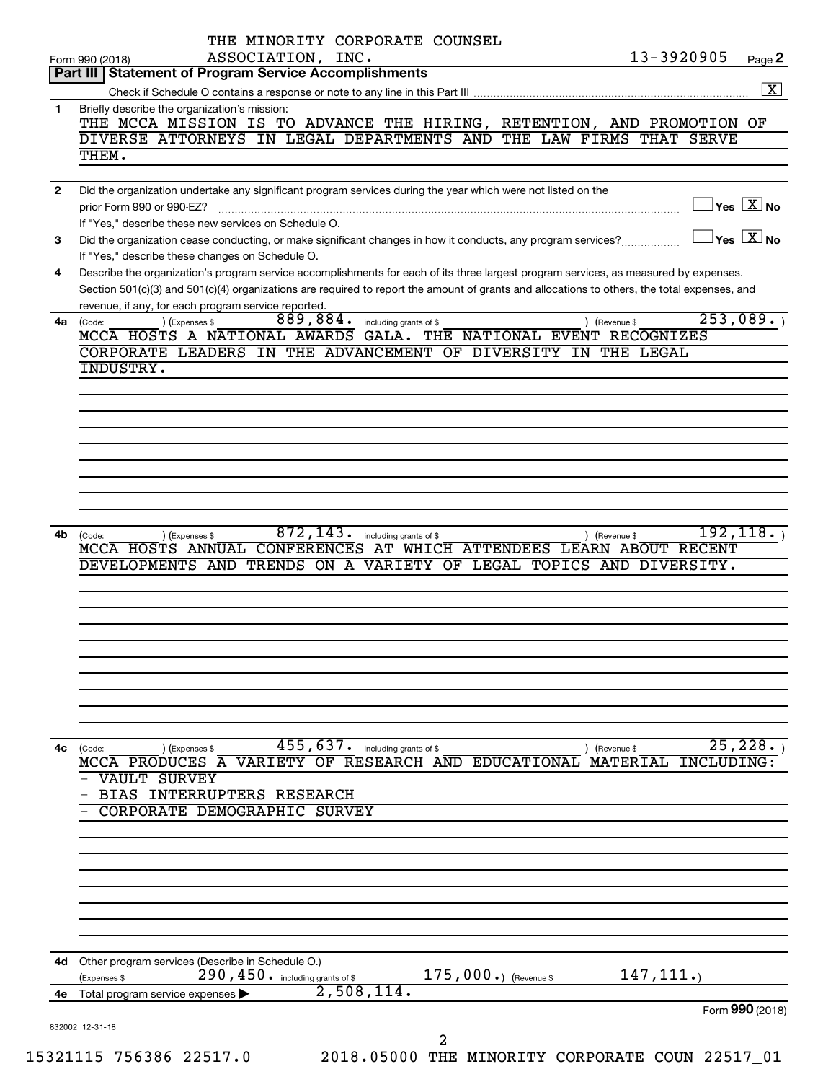|              | 13-3920905<br>ASSOCIATION, INC.<br>Form 990 (2018)                                                                                                                                                                   | Page 2               |
|--------------|----------------------------------------------------------------------------------------------------------------------------------------------------------------------------------------------------------------------|----------------------|
|              | Part III   Statement of Program Service Accomplishments                                                                                                                                                              | $\boxed{\mathbf{X}}$ |
| 1            | Briefly describe the organization's mission:                                                                                                                                                                         |                      |
|              | THE MCCA MISSION IS TO ADVANCE THE HIRING, RETENTION, AND PROMOTION OF                                                                                                                                               |                      |
|              | DIVERSE ATTORNEYS IN LEGAL DEPARTMENTS AND THE LAW FIRMS THAT SERVE                                                                                                                                                  |                      |
|              | THEM.                                                                                                                                                                                                                |                      |
| $\mathbf{2}$ | Did the organization undertake any significant program services during the year which were not listed on the                                                                                                         |                      |
|              | $\Box$ Yes $[\overline{\mathrm{X}}]$ No<br>prior Form 990 or 990-EZ?                                                                                                                                                 |                      |
|              | If "Yes," describe these new services on Schedule O.                                                                                                                                                                 |                      |
| 3            | $ {\mathsf Y}\mathsf{es}\ \boxed{{\mathsf X}}$ No<br>Did the organization cease conducting, or make significant changes in how it conducts, any program services?<br>If "Yes," describe these changes on Schedule O. |                      |
| 4            | Describe the organization's program service accomplishments for each of its three largest program services, as measured by expenses.                                                                                 |                      |
|              | Section 501(c)(3) and 501(c)(4) organizations are required to report the amount of grants and allocations to others, the total expenses, and                                                                         |                      |
|              | revenue, if any, for each program service reported.                                                                                                                                                                  |                      |
| 4a           | 253,089.<br>$\overline{889,884}$ . including grants of \$<br>) (Expenses \$<br>(Code:<br>) (Revenue \$<br>MCCA HOSTS A NATIONAL AWARDS GALA. THE NATIONAL EVENT RECOGNIZES                                           |                      |
|              | CORPORATE LEADERS IN THE ADVANCEMENT OF DIVERSITY IN THE LEGAL                                                                                                                                                       |                      |
|              | INDUSTRY.                                                                                                                                                                                                            |                      |
|              |                                                                                                                                                                                                                      |                      |
|              |                                                                                                                                                                                                                      |                      |
|              |                                                                                                                                                                                                                      |                      |
|              |                                                                                                                                                                                                                      |                      |
|              |                                                                                                                                                                                                                      |                      |
|              |                                                                                                                                                                                                                      |                      |
|              |                                                                                                                                                                                                                      |                      |
|              |                                                                                                                                                                                                                      |                      |
|              | $872, 143$ . including grants of \$<br>192, 118.                                                                                                                                                                     |                      |
| 4b           | ) (Revenue \$<br>(Code:<br>(Expenses \$<br>MCCA HOSTS ANNUAL CONFERENCES AT WHICH ATTENDEES LEARN ABOUT RECENT                                                                                                       |                      |
|              | DEVELOPMENTS AND TRENDS ON A VARIETY OF LEGAL TOPICS AND DIVERSITY.                                                                                                                                                  |                      |
|              |                                                                                                                                                                                                                      |                      |
|              |                                                                                                                                                                                                                      |                      |
|              |                                                                                                                                                                                                                      |                      |
|              |                                                                                                                                                                                                                      |                      |
|              |                                                                                                                                                                                                                      |                      |
|              |                                                                                                                                                                                                                      |                      |
|              |                                                                                                                                                                                                                      |                      |
|              |                                                                                                                                                                                                                      |                      |
|              |                                                                                                                                                                                                                      |                      |
| 4c           | 455,637.<br>25,228.<br>including grants of \$<br>(Code:<br>) (Expenses \$<br>(Revenue \$                                                                                                                             |                      |
|              | MCCA PRODUCES A VARIETY OF RESEARCH AND EDUCATIONAL<br>MATERIAL<br>INCLUDING:                                                                                                                                        |                      |
|              | VAULT SURVEY                                                                                                                                                                                                         |                      |
|              | BIAS INTERRUPTERS RESEARCH                                                                                                                                                                                           |                      |
|              | CORPORATE DEMOGRAPHIC SURVEY                                                                                                                                                                                         |                      |
|              |                                                                                                                                                                                                                      |                      |
|              |                                                                                                                                                                                                                      |                      |
|              |                                                                                                                                                                                                                      |                      |
|              |                                                                                                                                                                                                                      |                      |
|              |                                                                                                                                                                                                                      |                      |
|              |                                                                                                                                                                                                                      |                      |
| 4d           |                                                                                                                                                                                                                      |                      |
|              | Other program services (Describe in Schedule O.)<br>175,000.) (Revenue \$<br>147, 111.<br>290, 450. including grants of \$<br>(Expenses \$                                                                           |                      |
| 4e           | 2,508,114.<br>Total program service expenses                                                                                                                                                                         |                      |
|              | Form 990 (2018)<br>832002 12-31-18                                                                                                                                                                                   |                      |
|              | 2                                                                                                                                                                                                                    |                      |
|              | 15321115 756386 22517.0<br>2018.05000 THE MINORITY CORPORATE COUN 22517_01                                                                                                                                           |                      |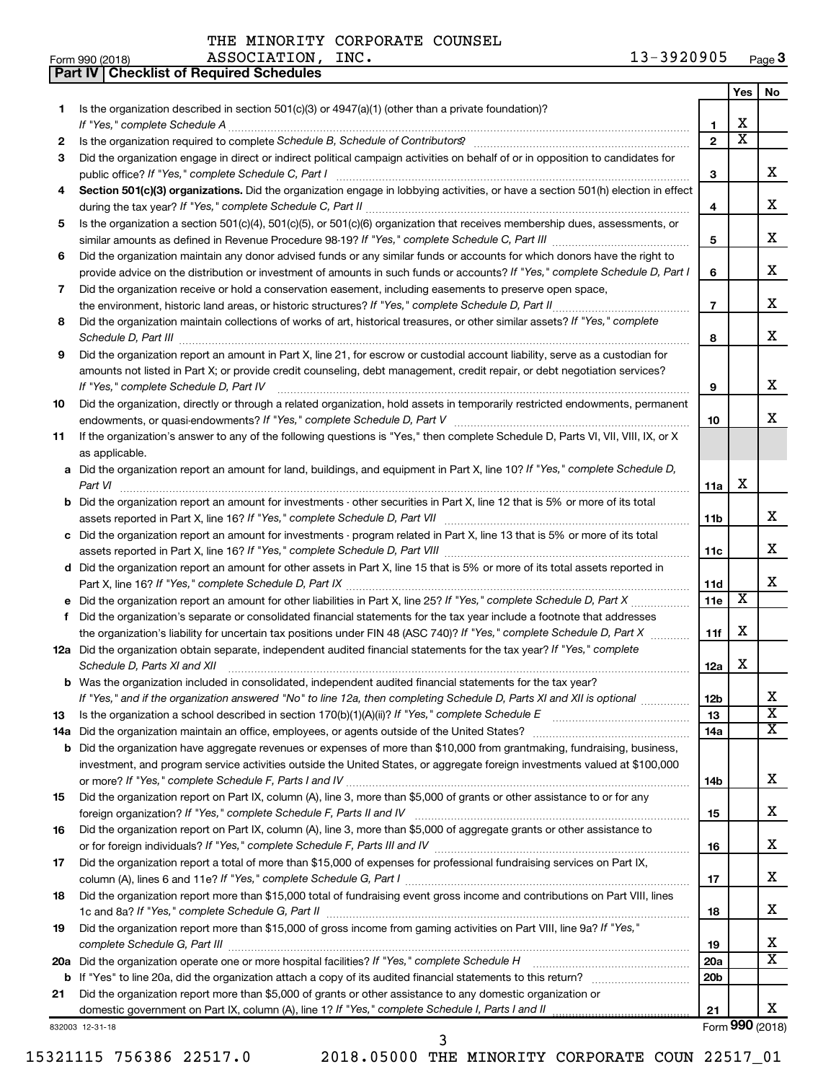**Part IV Checklist of Required Schedules**

|     |                                                                                                                                                                     |                 | Yes                     | No                      |
|-----|---------------------------------------------------------------------------------------------------------------------------------------------------------------------|-----------------|-------------------------|-------------------------|
| 1.  | Is the organization described in section $501(c)(3)$ or $4947(a)(1)$ (other than a private foundation)?                                                             |                 |                         |                         |
|     | If "Yes," complete Schedule A                                                                                                                                       | 1               | х                       |                         |
| 2   |                                                                                                                                                                     | $\mathbf{2}$    | $\overline{\textbf{x}}$ |                         |
| 3   | Did the organization engage in direct or indirect political campaign activities on behalf of or in opposition to candidates for                                     |                 |                         |                         |
|     | public office? If "Yes," complete Schedule C, Part I                                                                                                                | 3               |                         | x                       |
| 4   | Section 501(c)(3) organizations. Did the organization engage in lobbying activities, or have a section 501(h) election in effect                                    | 4               |                         | х                       |
|     | Is the organization a section 501(c)(4), 501(c)(5), or 501(c)(6) organization that receives membership dues, assessments, or                                        |                 |                         |                         |
| 5   |                                                                                                                                                                     | 5               |                         | x                       |
| 6   | Did the organization maintain any donor advised funds or any similar funds or accounts for which donors have the right to                                           |                 |                         |                         |
|     | provide advice on the distribution or investment of amounts in such funds or accounts? If "Yes," complete Schedule D, Part I                                        | 6               |                         | x                       |
| 7   | Did the organization receive or hold a conservation easement, including easements to preserve open space,                                                           |                 |                         |                         |
|     | the environment, historic land areas, or historic structures? If "Yes," complete Schedule D, Part II                                                                |                 |                         | x                       |
| 8   | Did the organization maintain collections of works of art, historical treasures, or other similar assets? If "Yes," complete                                        | 8               |                         | x                       |
| 9   | Did the organization report an amount in Part X, line 21, for escrow or custodial account liability, serve as a custodian for                                       |                 |                         |                         |
|     | amounts not listed in Part X; or provide credit counseling, debt management, credit repair, or debt negotiation services?<br>If "Yes," complete Schedule D, Part IV | 9               |                         | х                       |
| 10  | Did the organization, directly or through a related organization, hold assets in temporarily restricted endowments, permanent                                       |                 |                         |                         |
|     |                                                                                                                                                                     | 10              |                         | x.                      |
| 11  | If the organization's answer to any of the following questions is "Yes," then complete Schedule D, Parts VI, VII, VIII, IX, or X                                    |                 |                         |                         |
|     | as applicable.                                                                                                                                                      |                 |                         |                         |
|     | a Did the organization report an amount for land, buildings, and equipment in Part X, line 10? If "Yes," complete Schedule D,<br>Part VI                            | 11a             | x                       |                         |
| b   | Did the organization report an amount for investments - other securities in Part X, line 12 that is 5% or more of its total                                         |                 |                         |                         |
|     | assets reported in Part X, line 16? If "Yes," complete Schedule D, Part VII [11] [11] [12] [12] [12] [12] [12] [                                                    | 11 <sub>b</sub> |                         | x                       |
|     | c Did the organization report an amount for investments - program related in Part X, line 13 that is 5% or more of its total                                        |                 |                         |                         |
|     |                                                                                                                                                                     | 11c             |                         | х                       |
|     | d Did the organization report an amount for other assets in Part X, line 15 that is 5% or more of its total assets reported in                                      |                 |                         |                         |
|     |                                                                                                                                                                     | 11d             |                         | х                       |
|     | e Did the organization report an amount for other liabilities in Part X, line 25? If "Yes," complete Schedule D, Part X                                             | 11e             | X                       |                         |
| f   | Did the organization's separate or consolidated financial statements for the tax year include a footnote that addresses                                             |                 |                         |                         |
|     | the organization's liability for uncertain tax positions under FIN 48 (ASC 740)? If "Yes," complete Schedule D, Part X                                              | 11f             | x                       |                         |
|     | 12a Did the organization obtain separate, independent audited financial statements for the tax year? If "Yes," complete                                             |                 |                         |                         |
|     | Schedule D, Parts XI and XII                                                                                                                                        | 12a             | x                       |                         |
|     | <b>b</b> Was the organization included in consolidated, independent audited financial statements for the tax year?                                                  |                 |                         |                         |
|     | If "Yes," and if the organization answered "No" to line 12a, then completing Schedule D, Parts XI and XII is optional www.                                          | 12 <sub>b</sub> |                         |                         |
| 13  | Is the organization a school described in section $170(b)(1)(A)(ii)?$ If "Yes," complete Schedule E                                                                 | 13              |                         | $\overline{\textbf{x}}$ |
| 14a |                                                                                                                                                                     | 14a             |                         | X                       |
| b   | Did the organization have aggregate revenues or expenses of more than \$10,000 from grantmaking, fundraising, business,                                             |                 |                         |                         |
|     | investment, and program service activities outside the United States, or aggregate foreign investments valued at \$100,000                                          |                 |                         |                         |
|     |                                                                                                                                                                     | 14b             |                         | x                       |
| 15  | Did the organization report on Part IX, column (A), line 3, more than \$5,000 of grants or other assistance to or for any                                           |                 |                         |                         |
|     |                                                                                                                                                                     | 15              |                         | x                       |
| 16  | Did the organization report on Part IX, column (A), line 3, more than \$5,000 of aggregate grants or other assistance to                                            |                 |                         | x                       |
|     | Did the organization report a total of more than \$15,000 of expenses for professional fundraising services on Part IX,                                             | 16              |                         |                         |
| 17  |                                                                                                                                                                     |                 |                         | x                       |
|     | Did the organization report more than \$15,000 total of fundraising event gross income and contributions on Part VIII, lines                                        | 17              |                         |                         |
| 18  |                                                                                                                                                                     | 18              |                         | x                       |
| 19  | Did the organization report more than \$15,000 of gross income from gaming activities on Part VIII, line 9a? If "Yes,"                                              |                 |                         |                         |
|     |                                                                                                                                                                     | 19              |                         | x                       |
|     | 20a Did the organization operate one or more hospital facilities? If "Yes," complete Schedule H                                                                     | 20a             |                         | $\overline{\texttt{X}}$ |
| b   |                                                                                                                                                                     | 20 <sub>b</sub> |                         |                         |
| 21  | Did the organization report more than \$5,000 of grants or other assistance to any domestic organization or                                                         |                 |                         |                         |
|     | domestic government on Part IX, column (A), line 1? If "Yes," complete Schedule I, Parts I and II                                                                   | 21              |                         | x                       |
|     | 832003 12-31-18                                                                                                                                                     |                 |                         | Form 990 (2018)         |

3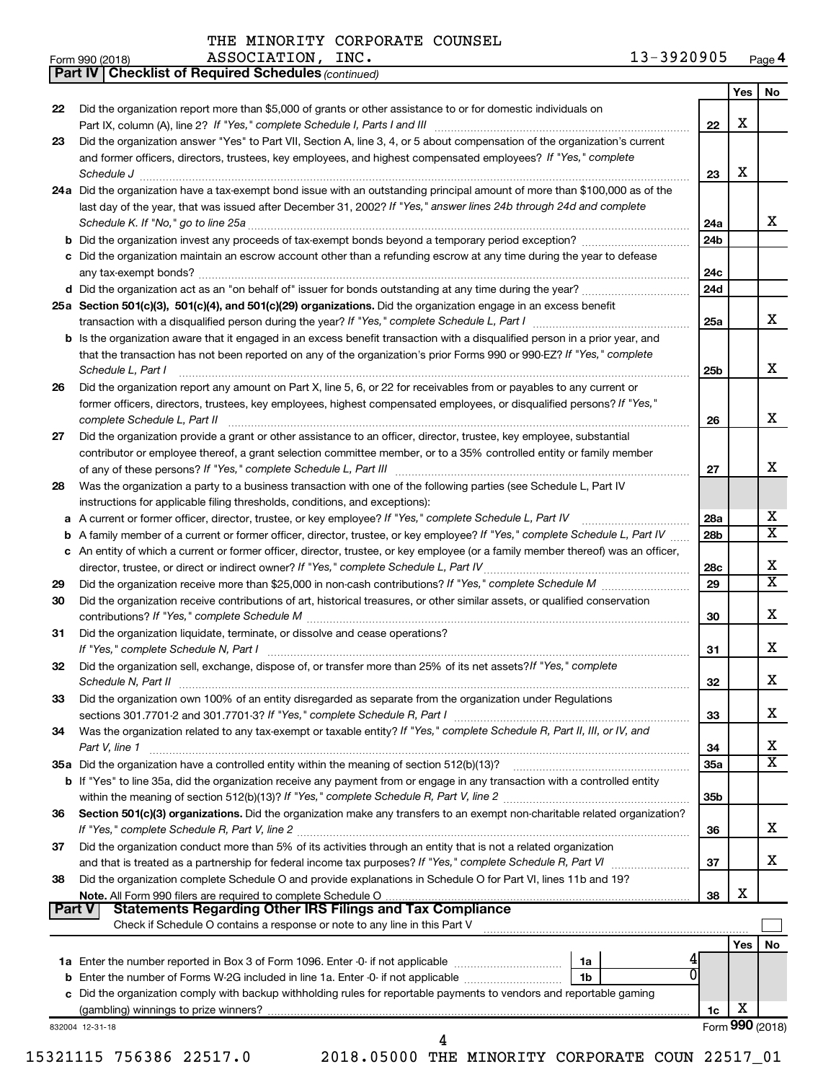Form 990 (2018) Page ASSOCIATION, INC. 13-3920905

13-3920905 Page 4

|               | <b>Part IV   Checklist of Required Schedules (continued)</b>                                                                                                                                                                            |                 |     |                         |
|---------------|-----------------------------------------------------------------------------------------------------------------------------------------------------------------------------------------------------------------------------------------|-----------------|-----|-------------------------|
|               |                                                                                                                                                                                                                                         |                 | Yes | No.                     |
| 22            | Did the organization report more than \$5,000 of grants or other assistance to or for domestic individuals on                                                                                                                           |                 |     |                         |
|               |                                                                                                                                                                                                                                         | 22              | X   |                         |
| 23            | Did the organization answer "Yes" to Part VII, Section A, line 3, 4, or 5 about compensation of the organization's current                                                                                                              |                 |     |                         |
|               | and former officers, directors, trustees, key employees, and highest compensated employees? If "Yes," complete                                                                                                                          |                 |     |                         |
|               | Schedule J <b>Example 2 Constant Constructs</b> 2 <b>Constant Constant Constant Constant Constant Constant Constant Constant Constant Constant Constant Constant Constant Constant Constant Constant Constant Constant Constant Con</b> | 23              | X   |                         |
|               | 24a Did the organization have a tax-exempt bond issue with an outstanding principal amount of more than \$100,000 as of the                                                                                                             |                 |     |                         |
|               | last day of the year, that was issued after December 31, 2002? If "Yes," answer lines 24b through 24d and complete                                                                                                                      |                 |     |                         |
|               |                                                                                                                                                                                                                                         | 24a             |     | x                       |
|               |                                                                                                                                                                                                                                         | 24 <sub>b</sub> |     |                         |
|               |                                                                                                                                                                                                                                         |                 |     |                         |
|               | c Did the organization maintain an escrow account other than a refunding escrow at any time during the year to defease                                                                                                                  |                 |     |                         |
|               |                                                                                                                                                                                                                                         | 24c             |     |                         |
|               |                                                                                                                                                                                                                                         | 24 <sub>d</sub> |     |                         |
|               | 25a Section 501(c)(3), 501(c)(4), and 501(c)(29) organizations. Did the organization engage in an excess benefit                                                                                                                        |                 |     |                         |
|               |                                                                                                                                                                                                                                         | 25a             |     | x                       |
|               | b Is the organization aware that it engaged in an excess benefit transaction with a disqualified person in a prior year, and                                                                                                            |                 |     |                         |
|               | that the transaction has not been reported on any of the organization's prior Forms 990 or 990-EZ? If "Yes," complete                                                                                                                   |                 |     |                         |
|               | Schedule L, Part I                                                                                                                                                                                                                      | 25b             |     | х                       |
| 26            | Did the organization report any amount on Part X, line 5, 6, or 22 for receivables from or payables to any current or                                                                                                                   |                 |     |                         |
|               | former officers, directors, trustees, key employees, highest compensated employees, or disqualified persons? If "Yes,"                                                                                                                  |                 |     |                         |
|               | complete Schedule L, Part II                                                                                                                                                                                                            | 26              |     | x                       |
| 27            | Did the organization provide a grant or other assistance to an officer, director, trustee, key employee, substantial                                                                                                                    |                 |     |                         |
|               | contributor or employee thereof, a grant selection committee member, or to a 35% controlled entity or family member                                                                                                                     |                 |     |                         |
|               |                                                                                                                                                                                                                                         | 27              |     | x                       |
| 28            | Was the organization a party to a business transaction with one of the following parties (see Schedule L, Part IV                                                                                                                       |                 |     |                         |
|               | instructions for applicable filing thresholds, conditions, and exceptions):                                                                                                                                                             |                 |     |                         |
| а             | A current or former officer, director, trustee, or key employee? If "Yes," complete Schedule L, Part IV                                                                                                                                 | 28a             |     | x                       |
| b             | A family member of a current or former officer, director, trustee, or key employee? If "Yes," complete Schedule L, Part IV                                                                                                              | 28 <sub>b</sub> |     | $\overline{\texttt{x}}$ |
|               | c An entity of which a current or former officer, director, trustee, or key employee (or a family member thereof) was an officer,                                                                                                       |                 |     |                         |
|               | director, trustee, or direct or indirect owner? If "Yes," complete Schedule L, Part IV                                                                                                                                                  | 28c             |     | х                       |
| 29            |                                                                                                                                                                                                                                         | 29              |     | X                       |
| 30            | Did the organization receive contributions of art, historical treasures, or other similar assets, or qualified conservation                                                                                                             |                 |     |                         |
|               |                                                                                                                                                                                                                                         | 30              |     | x                       |
| 31            | Did the organization liquidate, terminate, or dissolve and cease operations?                                                                                                                                                            |                 |     |                         |
|               |                                                                                                                                                                                                                                         | 31              |     | x                       |
| 32            | Did the organization sell, exchange, dispose of, or transfer more than 25% of its net assets? If "Yes," complete                                                                                                                        |                 |     |                         |
|               | Schedule N, Part II                                                                                                                                                                                                                     | 32              |     | ▵                       |
| 33            | Did the organization own 100% of an entity disregarded as separate from the organization under Regulations                                                                                                                              |                 |     |                         |
|               |                                                                                                                                                                                                                                         | 33              |     | х                       |
|               |                                                                                                                                                                                                                                         |                 |     |                         |
| 34            | Was the organization related to any tax-exempt or taxable entity? If "Yes," complete Schedule R, Part II, III, or IV, and                                                                                                               |                 |     | x                       |
|               | Part V, line 1                                                                                                                                                                                                                          | 34              |     | $\overline{\textbf{x}}$ |
|               | 35a Did the organization have a controlled entity within the meaning of section 512(b)(13)?                                                                                                                                             | 35a             |     |                         |
|               | b If "Yes" to line 35a, did the organization receive any payment from or engage in any transaction with a controlled entity                                                                                                             |                 |     |                         |
|               |                                                                                                                                                                                                                                         | 35b             |     |                         |
| 36            | Section 501(c)(3) organizations. Did the organization make any transfers to an exempt non-charitable related organization?                                                                                                              |                 |     |                         |
|               |                                                                                                                                                                                                                                         | 36              |     | x                       |
| 37            | Did the organization conduct more than 5% of its activities through an entity that is not a related organization                                                                                                                        |                 |     |                         |
|               |                                                                                                                                                                                                                                         | 37              |     | х                       |
| 38            | Did the organization complete Schedule O and provide explanations in Schedule O for Part VI, lines 11b and 19?                                                                                                                          |                 |     |                         |
|               |                                                                                                                                                                                                                                         | 38              | х   |                         |
| <b>Part V</b> | <b>Statements Regarding Other IRS Filings and Tax Compliance</b>                                                                                                                                                                        |                 |     |                         |
|               | Check if Schedule O contains a response or note to any line in this Part V                                                                                                                                                              |                 |     |                         |
|               |                                                                                                                                                                                                                                         |                 | Yes | No                      |
|               | 1a                                                                                                                                                                                                                                      |                 |     |                         |
|               | 0<br>Enter the number of Forms W-2G included in line 1a. Enter -0- if not applicable<br>1b                                                                                                                                              |                 |     |                         |
|               | c Did the organization comply with backup withholding rules for reportable payments to vendors and reportable gaming                                                                                                                    |                 |     |                         |
|               |                                                                                                                                                                                                                                         | 1c              | х   |                         |
|               | 832004 12-31-18                                                                                                                                                                                                                         |                 |     | Form 990 (2018)         |
|               | 4                                                                                                                                                                                                                                       |                 |     |                         |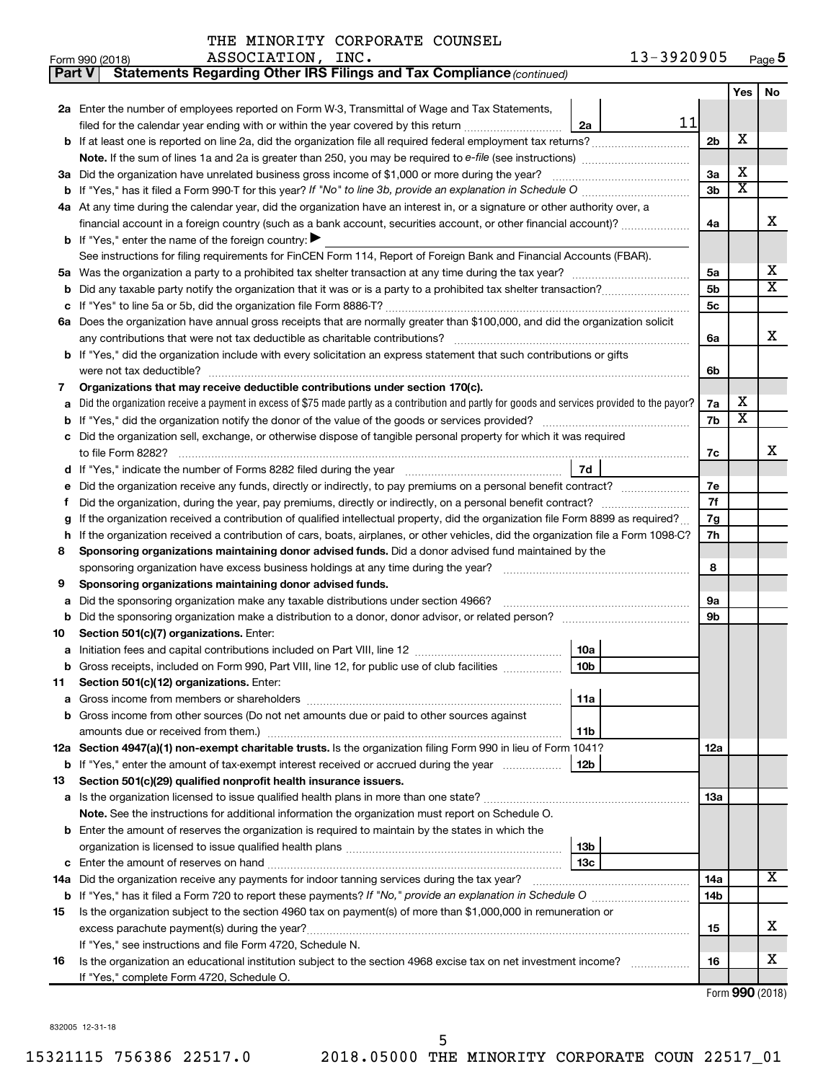| THE MINORITY CORPORATE COUNSEL |  |  |
|--------------------------------|--|--|
|--------------------------------|--|--|

| Part V | <b>Statements Regarding Other IRS Filings and Tax Compliance (continued)</b>                                                                    |                |                         |                       |  |  |  |  |
|--------|-------------------------------------------------------------------------------------------------------------------------------------------------|----------------|-------------------------|-----------------------|--|--|--|--|
|        |                                                                                                                                                 |                | Yes                     | No                    |  |  |  |  |
|        | 2a Enter the number of employees reported on Form W-3, Transmittal of Wage and Tax Statements,                                                  |                |                         |                       |  |  |  |  |
|        | 11<br>filed for the calendar year ending with or within the year covered by this return<br>2a                                                   |                |                         |                       |  |  |  |  |
| b      |                                                                                                                                                 | 2 <sub>b</sub> | X                       |                       |  |  |  |  |
|        |                                                                                                                                                 |                |                         |                       |  |  |  |  |
|        | 3a Did the organization have unrelated business gross income of \$1,000 or more during the year?                                                | За             | х                       |                       |  |  |  |  |
|        | <b>b</b> If "Yes," has it filed a Form 990-T for this year? If "No" to line 3b, provide an explanation in Schedule O manumum                    |                |                         |                       |  |  |  |  |
|        | 4a At any time during the calendar year, did the organization have an interest in, or a signature or other authority over, a                    |                |                         |                       |  |  |  |  |
|        | financial account in a foreign country (such as a bank account, securities account, or other financial account)?                                | 4a             |                         | x                     |  |  |  |  |
|        | <b>b</b> If "Yes," enter the name of the foreign country: $\blacktriangleright$                                                                 |                |                         |                       |  |  |  |  |
|        | See instructions for filing requirements for FinCEN Form 114, Report of Foreign Bank and Financial Accounts (FBAR).                             |                |                         |                       |  |  |  |  |
| 5a     |                                                                                                                                                 | 5a             |                         | х                     |  |  |  |  |
| b      |                                                                                                                                                 | 5 <sub>b</sub> |                         | $\overline{\text{X}}$ |  |  |  |  |
|        |                                                                                                                                                 | <b>5c</b>      |                         |                       |  |  |  |  |
|        | 6a Does the organization have annual gross receipts that are normally greater than \$100,000, and did the organization solicit                  |                |                         |                       |  |  |  |  |
|        |                                                                                                                                                 | 6a             |                         | x                     |  |  |  |  |
|        | b If "Yes," did the organization include with every solicitation an express statement that such contributions or gifts                          |                |                         |                       |  |  |  |  |
|        |                                                                                                                                                 | 6b             |                         |                       |  |  |  |  |
| 7      | Organizations that may receive deductible contributions under section 170(c).                                                                   |                |                         |                       |  |  |  |  |
| a      | Did the organization receive a payment in excess of \$75 made partly as a contribution and partly for goods and services provided to the payor? | 7a             | х                       |                       |  |  |  |  |
| b      |                                                                                                                                                 | 7b             | $\overline{\textbf{x}}$ |                       |  |  |  |  |
|        | Did the organization sell, exchange, or otherwise dispose of tangible personal property for which it was required                               |                |                         |                       |  |  |  |  |
|        |                                                                                                                                                 | 7c             |                         | x                     |  |  |  |  |
| d      | 7d                                                                                                                                              |                |                         |                       |  |  |  |  |
|        | Did the organization receive any funds, directly or indirectly, to pay premiums on a personal benefit contract?                                 | 7е             |                         |                       |  |  |  |  |
| f      |                                                                                                                                                 |                |                         |                       |  |  |  |  |
| g      | If the organization received a contribution of qualified intellectual property, did the organization file Form 8899 as required?                |                |                         |                       |  |  |  |  |
| h      | If the organization received a contribution of cars, boats, airplanes, or other vehicles, did the organization file a Form 1098-C?              |                |                         |                       |  |  |  |  |
| 8      | Sponsoring organizations maintaining donor advised funds. Did a donor advised fund maintained by the                                            |                |                         |                       |  |  |  |  |
|        |                                                                                                                                                 | 8              |                         |                       |  |  |  |  |
| 9      | Sponsoring organizations maintaining donor advised funds.                                                                                       |                |                         |                       |  |  |  |  |
| а      | Did the sponsoring organization make any taxable distributions under section 4966?                                                              | 9а             |                         |                       |  |  |  |  |
| b      |                                                                                                                                                 | 9b             |                         |                       |  |  |  |  |
| 10     | Section 501(c)(7) organizations. Enter:                                                                                                         |                |                         |                       |  |  |  |  |
|        | 10a                                                                                                                                             |                |                         |                       |  |  |  |  |
|        | 10 <sub>b</sub><br>Gross receipts, included on Form 990, Part VIII, line 12, for public use of club facilities                                  |                |                         |                       |  |  |  |  |
| 11     | Section 501(c)(12) organizations. Enter:                                                                                                        |                |                         |                       |  |  |  |  |
| а      | 11a                                                                                                                                             |                |                         |                       |  |  |  |  |
|        | Gross income from other sources (Do not net amounts due or paid to other sources against                                                        |                |                         |                       |  |  |  |  |
|        | amounts due or received from them.)<br>11b                                                                                                      |                |                         |                       |  |  |  |  |
|        | 12a Section 4947(a)(1) non-exempt charitable trusts. Is the organization filing Form 990 in lieu of Form 1041?                                  | 12a            |                         |                       |  |  |  |  |
|        | 12b<br><b>b</b> If "Yes," enter the amount of tax-exempt interest received or accrued during the year                                           |                |                         |                       |  |  |  |  |
| 13     | Section 501(c)(29) qualified nonprofit health insurance issuers.                                                                                |                |                         |                       |  |  |  |  |
|        | a Is the organization licensed to issue qualified health plans in more than one state?                                                          | 13a            |                         |                       |  |  |  |  |
|        | Note. See the instructions for additional information the organization must report on Schedule O.                                               |                |                         |                       |  |  |  |  |
|        | <b>b</b> Enter the amount of reserves the organization is required to maintain by the states in which the                                       |                |                         |                       |  |  |  |  |
|        | 13b                                                                                                                                             |                |                         |                       |  |  |  |  |
| c      | 13 <sub>c</sub>                                                                                                                                 |                |                         |                       |  |  |  |  |
|        | 14a Did the organization receive any payments for indoor tanning services during the tax year?                                                  | 14a            |                         | x.                    |  |  |  |  |
|        |                                                                                                                                                 | 14b            |                         |                       |  |  |  |  |
| 15     | Is the organization subject to the section 4960 tax on payment(s) of more than \$1,000,000 in remuneration or                                   |                |                         |                       |  |  |  |  |
|        | excess parachute payment(s) during the year?                                                                                                    | 15             |                         | x                     |  |  |  |  |
|        | If "Yes," see instructions and file Form 4720, Schedule N.                                                                                      |                |                         |                       |  |  |  |  |
| 16     | Is the organization an educational institution subject to the section 4968 excise tax on net investment income?                                 | 16             |                         | x                     |  |  |  |  |
|        | If "Yes," complete Form 4720, Schedule O.                                                                                                       |                |                         |                       |  |  |  |  |

832005 12-31-18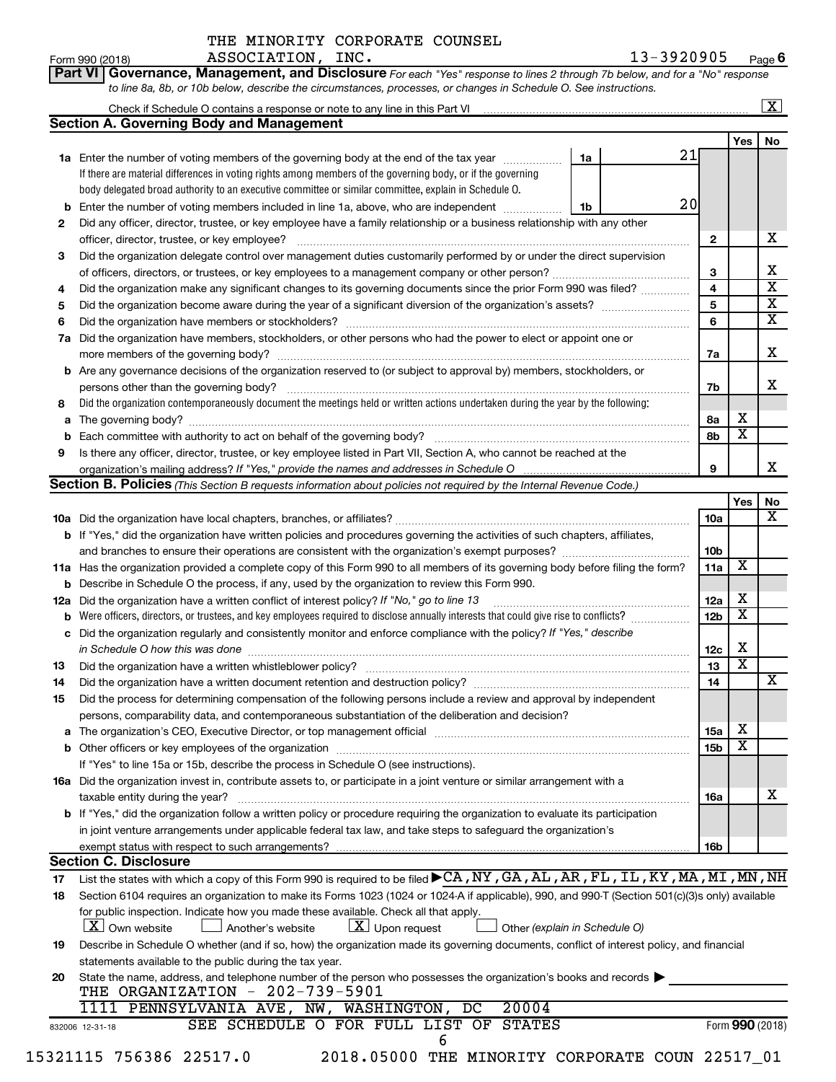Form 990 (2018) Page ASSOCIATION, INC. 13-3920905 **6**

| Part VI   Governance, Management, and Disclosure For each "Yes" response to lines 2 through 7b below, and for a "No" response |
|-------------------------------------------------------------------------------------------------------------------------------|
| to line 8a, 8b, or 10b below, describe the circumstances, processes, or changes in Schedule O. See instructions.              |

|     |                                                                                                                                                                                                                                |    |    |                 |                         | $\mathbf{X}$            |  |  |  |
|-----|--------------------------------------------------------------------------------------------------------------------------------------------------------------------------------------------------------------------------------|----|----|-----------------|-------------------------|-------------------------|--|--|--|
|     | <b>Section A. Governing Body and Management</b>                                                                                                                                                                                |    |    |                 |                         |                         |  |  |  |
|     |                                                                                                                                                                                                                                |    |    |                 | Yes                     | No                      |  |  |  |
|     | <b>1a</b> Enter the number of voting members of the governing body at the end of the tax year                                                                                                                                  | 1a | 21 |                 |                         |                         |  |  |  |
|     | If there are material differences in voting rights among members of the governing body, or if the governing                                                                                                                    |    |    |                 |                         |                         |  |  |  |
|     | body delegated broad authority to an executive committee or similar committee, explain in Schedule O.                                                                                                                          |    |    |                 |                         |                         |  |  |  |
| b   | 20<br>Enter the number of voting members included in line 1a, above, who are independent<br>1b                                                                                                                                 |    |    |                 |                         |                         |  |  |  |
| 2   | Did any officer, director, trustee, or key employee have a family relationship or a business relationship with any other                                                                                                       |    |    |                 |                         |                         |  |  |  |
|     | officer, director, trustee, or key employee?                                                                                                                                                                                   |    |    | $\mathbf{2}$    |                         | x                       |  |  |  |
| 3   | Did the organization delegate control over management duties customarily performed by or under the direct supervision                                                                                                          |    |    |                 |                         |                         |  |  |  |
|     |                                                                                                                                                                                                                                |    |    | 3               |                         | x                       |  |  |  |
| 4   | Did the organization make any significant changes to its governing documents since the prior Form 990 was filed?                                                                                                               |    |    | 4               |                         | $\overline{\mathtt{x}}$ |  |  |  |
| 5   |                                                                                                                                                                                                                                |    |    | 5               |                         | $\overline{\mathtt{x}}$ |  |  |  |
| 6   | Did the organization have members or stockholders?                                                                                                                                                                             |    |    | 6               |                         | $\overline{\mathtt{x}}$ |  |  |  |
| 7a  | Did the organization have members, stockholders, or other persons who had the power to elect or appoint one or                                                                                                                 |    |    |                 |                         |                         |  |  |  |
|     |                                                                                                                                                                                                                                |    |    | 7a              |                         | x                       |  |  |  |
|     | <b>b</b> Are any governance decisions of the organization reserved to (or subject to approval by) members, stockholders, or                                                                                                    |    |    |                 |                         |                         |  |  |  |
|     | persons other than the governing body?                                                                                                                                                                                         |    |    | 7b              |                         | x                       |  |  |  |
| 8   | Did the organization contemporaneously document the meetings held or written actions undertaken during the year by the following:                                                                                              |    |    |                 |                         |                         |  |  |  |
| a   |                                                                                                                                                                                                                                |    |    | 8a              | х                       |                         |  |  |  |
| b   | Each committee with authority to act on behalf of the governing body?                                                                                                                                                          |    |    | 8b              | $\overline{\text{x}}$   |                         |  |  |  |
| 9   | Is there any officer, director, trustee, or key employee listed in Part VII, Section A, who cannot be reached at the                                                                                                           |    |    |                 |                         |                         |  |  |  |
|     |                                                                                                                                                                                                                                |    |    | 9               |                         | x                       |  |  |  |
|     | Section B. Policies (This Section B requests information about policies not required by the Internal Revenue Code.)                                                                                                            |    |    |                 |                         |                         |  |  |  |
|     |                                                                                                                                                                                                                                |    |    |                 | Yes                     | No                      |  |  |  |
|     |                                                                                                                                                                                                                                |    |    | 10a             |                         | $\overline{\text{X}}$   |  |  |  |
|     | <b>b</b> If "Yes," did the organization have written policies and procedures governing the activities of such chapters, affiliates,                                                                                            |    |    |                 |                         |                         |  |  |  |
|     |                                                                                                                                                                                                                                |    |    | 10 <sub>b</sub> |                         |                         |  |  |  |
|     | 11a Has the organization provided a complete copy of this Form 990 to all members of its governing body before filing the form?                                                                                                |    |    | 11a             | $\overline{\mathbf{X}}$ |                         |  |  |  |
| b   | Describe in Schedule O the process, if any, used by the organization to review this Form 990.                                                                                                                                  |    |    |                 |                         |                         |  |  |  |
| 12a | Did the organization have a written conflict of interest policy? If "No," go to line 13                                                                                                                                        |    |    | 12a             | X                       |                         |  |  |  |
| b   | Were officers, directors, or trustees, and key employees required to disclose annually interests that could give rise to conflicts?                                                                                            |    |    | 12 <sub>b</sub> | $\overline{\textbf{x}}$ |                         |  |  |  |
| с   | Did the organization regularly and consistently monitor and enforce compliance with the policy? If "Yes," describe                                                                                                             |    |    |                 |                         |                         |  |  |  |
|     | in Schedule O how this was done measurement and the state of the state of the state of the state of the state o                                                                                                                |    |    | 12c             | х                       |                         |  |  |  |
| 13  | Did the organization have a written whistleblower policy?                                                                                                                                                                      |    |    | 13              | $\overline{\text{x}}$   |                         |  |  |  |
| 14  | Did the organization have a written document retention and destruction policy? [11] manufaction manufaction manufaction in the system of the system of the system of the system of the system of the system of the system of t |    |    | 14              |                         | x                       |  |  |  |
| 15  | Did the process for determining compensation of the following persons include a review and approval by independent                                                                                                             |    |    |                 |                         |                         |  |  |  |
|     | persons, comparability data, and contemporaneous substantiation of the deliberation and decision?                                                                                                                              |    |    |                 |                         |                         |  |  |  |
| а   | The organization's CEO, Executive Director, or top management official manufactured content of the organization's CEO, Executive Director, or top management official manufactured content of the organization's CEO, Executiv |    |    | 15a             | х                       |                         |  |  |  |
|     |                                                                                                                                                                                                                                |    |    | 15 <sub>b</sub> | $\overline{\textbf{x}}$ |                         |  |  |  |
|     | If "Yes" to line 15a or 15b, describe the process in Schedule O (see instructions).                                                                                                                                            |    |    |                 |                         |                         |  |  |  |
|     | 16a Did the organization invest in, contribute assets to, or participate in a joint venture or similar arrangement with a                                                                                                      |    |    |                 |                         | х                       |  |  |  |
|     | taxable entity during the year?                                                                                                                                                                                                |    |    | 16a             |                         |                         |  |  |  |
|     | b If "Yes," did the organization follow a written policy or procedure requiring the organization to evaluate its participation                                                                                                 |    |    |                 |                         |                         |  |  |  |
|     | in joint venture arrangements under applicable federal tax law, and take steps to safeguard the organization's                                                                                                                 |    |    |                 |                         |                         |  |  |  |
|     | exempt status with respect to such arrangements?<br><b>Section C. Disclosure</b>                                                                                                                                               |    |    | 16b             |                         |                         |  |  |  |
|     | List the states with which a copy of this Form 990 is required to be filed CA, NY, GA, AL, AR, FL, IL, KY, MA, MI, MN, NH                                                                                                      |    |    |                 |                         |                         |  |  |  |
| 17  | Section 6104 requires an organization to make its Forms 1023 (1024 or 1024 A if applicable), 990, and 990-T (Section 501(c)(3)s only) available                                                                                |    |    |                 |                         |                         |  |  |  |
| 18  | for public inspection. Indicate how you made these available. Check all that apply.                                                                                                                                            |    |    |                 |                         |                         |  |  |  |
|     | $ \mathbf{X} $ Own website<br>$\lfloor x \rfloor$ Upon request<br>J Another's website<br>Other (explain in Schedule O)                                                                                                         |    |    |                 |                         |                         |  |  |  |
| 19  | Describe in Schedule O whether (and if so, how) the organization made its governing documents, conflict of interest policy, and financial                                                                                      |    |    |                 |                         |                         |  |  |  |
|     | statements available to the public during the tax year.                                                                                                                                                                        |    |    |                 |                         |                         |  |  |  |
| 20  | State the name, address, and telephone number of the person who possesses the organization's books and records                                                                                                                 |    |    |                 |                         |                         |  |  |  |
|     | THE ORGANIZATION - 202-739-5901                                                                                                                                                                                                |    |    |                 |                         |                         |  |  |  |
|     | 20004<br>1111 PENNSYLVANIA AVE, NW, WASHINGTON,<br>DC                                                                                                                                                                          |    |    |                 |                         |                         |  |  |  |
|     | SEE SCHEDULE O FOR FULL LIST OF STATES<br>832006 12-31-18                                                                                                                                                                      |    |    |                 |                         | Form 990 (2018)         |  |  |  |
|     | 6                                                                                                                                                                                                                              |    |    |                 |                         |                         |  |  |  |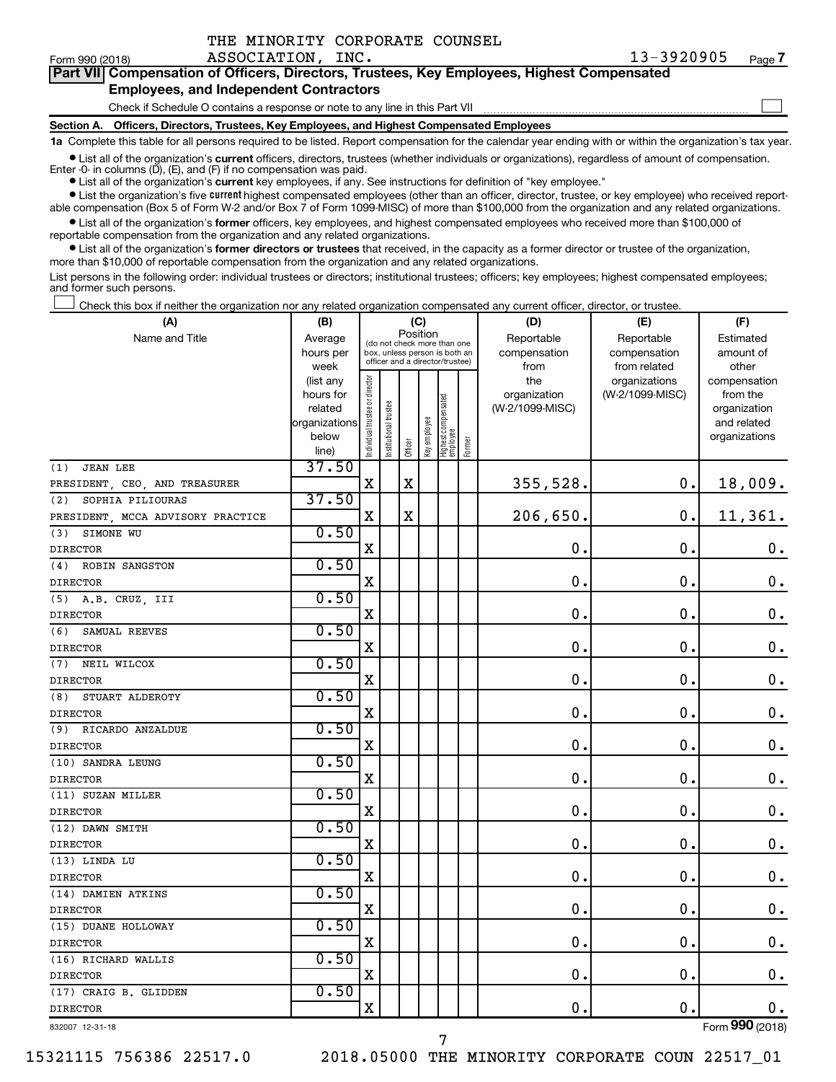| Form 990 (2018)                                                                            | ASSOCIATION, INC.                                                                          | 13-3920905 | Page 7 |  |  |  |  |
|--------------------------------------------------------------------------------------------|--------------------------------------------------------------------------------------------|------------|--------|--|--|--|--|
| Part VII Compensation of Officers, Directors, Trustees, Key Employees, Highest Compensated |                                                                                            |            |        |  |  |  |  |
|                                                                                            | <b>Employees, and Independent Contractors</b>                                              |            |        |  |  |  |  |
|                                                                                            | Check if Schedule O contains a response or note to any line in this Part VII               |            |        |  |  |  |  |
|                                                                                            | Section A. Officers, Directors, Trustees, Key Employees, and Highest Compensated Employees |            |        |  |  |  |  |

**1a**  Complete this table for all persons required to be listed. Report compensation for the calendar year ending with or within the organization's tax year.

**•** List all of the organization's current officers, directors, trustees (whether individuals or organizations), regardless of amount of compensation. Enter  $-0$ - in columns  $(D)$ ,  $(E)$ , and  $(F)$  if no compensation was paid.

**•** List all of the organization's **current** key employees, if any. See instructions for definition of "key employee."

THE MINORITY CORPORATE COUNSEL

**•** List the organization's five current highest compensated employees (other than an officer, director, trustee, or key employee) who received reportable compensation (Box 5 of Form W-2 and/or Box 7 of Form 1099-MISC) of more than \$100,000 from the organization and any related organizations.

**•** List all of the organization's former officers, key employees, and highest compensated employees who received more than \$100,000 of reportable compensation from the organization and any related organizations.

**•** List all of the organization's former directors or trustees that received, in the capacity as a former director or trustee of the organization, more than \$10,000 of reportable compensation from the organization and any related organizations.

List persons in the following order: individual trustees or directors; institutional trustees; officers; key employees; highest compensated employees; and former such persons.

Check this box if neither the organization nor any related organization compensated any current officer, director, or trustee.  $\Box$ 

| (A)                               | (B)            |                                |                                 |          | (C)          |                                 |        | (D)             | (E)             | (F)                |
|-----------------------------------|----------------|--------------------------------|---------------------------------|----------|--------------|---------------------------------|--------|-----------------|-----------------|--------------------|
| Name and Title                    | Average        |                                | (do not check more than one     | Position |              |                                 |        | Reportable      | Reportable      | Estimated          |
|                                   | hours per      |                                | box, unless person is both an   |          |              |                                 |        | compensation    | compensation    | amount of          |
|                                   | week           |                                | officer and a director/trustee) |          |              |                                 |        | from            | from related    | other              |
|                                   | (list any      |                                |                                 |          |              |                                 |        | the             | organizations   | compensation       |
|                                   | hours for      |                                |                                 |          |              |                                 |        | organization    | (W-2/1099-MISC) | from the           |
|                                   | related        |                                |                                 |          |              |                                 |        | (W-2/1099-MISC) |                 | organization       |
|                                   | organizations  |                                |                                 |          |              |                                 |        |                 |                 | and related        |
|                                   | below          | Individual trustee or director | Institutional trustee           | Officer  | Key employee | Highest compensated<br>employee | Former |                 |                 | organizations      |
|                                   | line)<br>37.50 |                                |                                 |          |              |                                 |        |                 |                 |                    |
| <b>JEAN LEE</b><br>(1)            |                |                                |                                 |          |              |                                 |        |                 |                 |                    |
| PRESIDENT, CEO, AND TREASURER     |                | X                              |                                 | X        |              |                                 |        | 355,528.        | 0.              | 18,009.            |
| (2)<br>SOPHIA PILIOURAS           | 37.50          |                                |                                 |          |              |                                 |        |                 |                 |                    |
| PRESIDENT, MCCA ADVISORY PRACTICE |                | X                              |                                 | X        |              |                                 |        | 206,650.        | $\mathbf 0$ .   | 11,361.            |
| SIMONE WU<br>(3)                  | 0.50           |                                |                                 |          |              |                                 |        |                 |                 |                    |
| <b>DIRECTOR</b>                   |                | Χ                              |                                 |          |              |                                 |        | $\mathbf 0$ .   | $\mathbf 0$     | $\mathbf 0$ .      |
| ROBIN SANGSTON<br>(4)             | 0.50           |                                |                                 |          |              |                                 |        |                 |                 |                    |
| <b>DIRECTOR</b>                   |                | X                              |                                 |          |              |                                 |        | 0.              | $\mathbf 0$     | $\boldsymbol{0}$ . |
| $(5)$ A.B. CRUZ, III              | 0.50           |                                |                                 |          |              |                                 |        |                 |                 |                    |
| <b>DIRECTOR</b>                   |                | X                              |                                 |          |              |                                 |        | $\mathbf 0$ .   | $\mathbf 0$     | 0.                 |
| (6)<br>SAMUAL REEVES              | 0.50           |                                |                                 |          |              |                                 |        |                 |                 |                    |
| <b>DIRECTOR</b>                   |                | X                              |                                 |          |              |                                 |        | 0.              | $\mathbf 0$     | $\mathbf 0$ .      |
| (7)<br>NEIL WILCOX                | 0.50           |                                |                                 |          |              |                                 |        |                 |                 |                    |
| <b>DIRECTOR</b>                   |                | X                              |                                 |          |              |                                 |        | $\mathbf 0$ .   | $\mathbf 0$     | $\mathbf 0$ .      |
| (8)<br>STUART ALDEROTY            | 0.50           |                                |                                 |          |              |                                 |        |                 |                 |                    |
| <b>DIRECTOR</b>                   |                | X                              |                                 |          |              |                                 |        | 0.              | $\mathbf 0$     | 0.                 |
| RICARDO ANZALDUE<br>(9)           | 0.50           |                                |                                 |          |              |                                 |        |                 |                 |                    |
| <b>DIRECTOR</b>                   |                | X                              |                                 |          |              |                                 |        | $\mathbf 0$ .   | $\mathbf 0$     | $\mathbf 0$ .      |
| (10) SANDRA LEUNG                 | 0.50           |                                |                                 |          |              |                                 |        |                 |                 |                    |
| <b>DIRECTOR</b>                   |                | Χ                              |                                 |          |              |                                 |        | 0.              | $\mathbf 0$     | $\mathbf 0$ .      |
| (11) SUZAN MILLER                 | 0.50           |                                |                                 |          |              |                                 |        |                 |                 |                    |
| <b>DIRECTOR</b>                   |                | $\mathbf X$                    |                                 |          |              |                                 |        | $\mathbf 0$ .   | 0               | $\mathbf 0$ .      |
| (12) DAWN SMITH                   | 0.50           |                                |                                 |          |              |                                 |        |                 |                 |                    |
| <b>DIRECTOR</b>                   |                | $\mathbf X$                    |                                 |          |              |                                 |        | 0.              | $\mathbf 0$     | 0.                 |
| (13) LINDA LU                     | 0.50           |                                |                                 |          |              |                                 |        |                 |                 |                    |
| <b>DIRECTOR</b>                   |                | X                              |                                 |          |              |                                 |        | $\mathbf 0$ .   | $\mathbf 0$     | 0.                 |
| (14) DAMIEN ATKINS                | 0.50           |                                |                                 |          |              |                                 |        |                 |                 |                    |
| <b>DIRECTOR</b>                   |                | $\mathbf X$                    |                                 |          |              |                                 |        | $\mathbf 0$ .   | $\mathbf 0$     | $\mathbf 0$ .      |
| (15) DUANE HOLLOWAY               | 0.50           |                                |                                 |          |              |                                 |        |                 |                 |                    |
| <b>DIRECTOR</b>                   |                | X                              |                                 |          |              |                                 |        | $\mathbf 0$ .   | 0               | 0.                 |
| (16) RICHARD WALLIS               | 0.50           |                                |                                 |          |              |                                 |        |                 |                 |                    |
| <b>DIRECTOR</b>                   |                | $\mathbf X$                    |                                 |          |              |                                 |        | 0.              | $\mathbf 0$     | $\mathbf 0$ .      |
| (17) CRAIG B. GLIDDEN             | 0.50           |                                |                                 |          |              |                                 |        |                 |                 |                    |
| <b>DIRECTOR</b>                   |                | Χ                              |                                 |          |              |                                 |        | $\mathbf 0$ .   | $\mathbf 0$     | $\boldsymbol{0}$ . |
| 832007 12-31-18                   |                |                                |                                 |          |              |                                 |        |                 |                 | Form 990 (2018)    |
|                                   |                |                                |                                 |          |              |                                 |        |                 |                 |                    |

7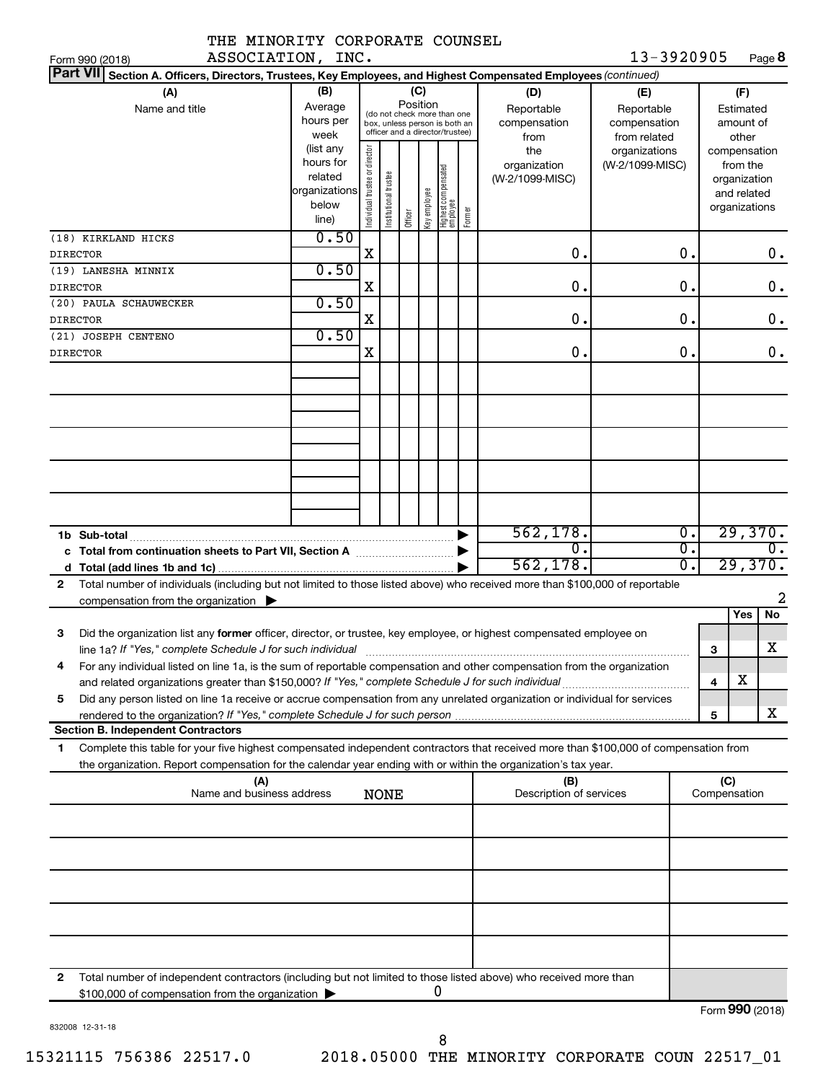| THE MINORITY CORPORATE COUNSEL                                                                                                                                                                                                                              |                                                                              |                                                                                                                    |                       |         |              |                                   |        |                                                |                                                  |                               |                                                                                   |                             |
|-------------------------------------------------------------------------------------------------------------------------------------------------------------------------------------------------------------------------------------------------------------|------------------------------------------------------------------------------|--------------------------------------------------------------------------------------------------------------------|-----------------------|---------|--------------|-----------------------------------|--------|------------------------------------------------|--------------------------------------------------|-------------------------------|-----------------------------------------------------------------------------------|-----------------------------|
| ASSOCIATION, INC.<br>Form 990 (2018)                                                                                                                                                                                                                        |                                                                              |                                                                                                                    |                       |         |              |                                   |        |                                                | 13-3920905                                       |                               |                                                                                   | Page 8                      |
| Part VII Section A. Officers, Directors, Trustees, Key Employees, and Highest Compensated Employees (continued)<br>(A)<br>Name and title                                                                                                                    | (B)<br>Average<br>hours per                                                  | (C)<br>Position<br>(do not check more than one<br>box, unless person is both an<br>officer and a director/trustee) |                       |         |              |                                   |        | (D)<br>Reportable<br>compensation              | (E)<br>Reportable<br>compensation                | (F)<br>Estimated<br>amount of |                                                                                   |                             |
|                                                                                                                                                                                                                                                             | week<br>(list any<br>hours for<br>related<br>organizations<br>below<br>line) | Individual trustee or director                                                                                     | Institutional trustee | Officer | Key employee | Highest compensated<br>  employee | Former | from<br>the<br>organization<br>(W-2/1099-MISC) | from related<br>organizations<br>(W-2/1099-MISC) |                               | other<br>compensation<br>from the<br>organization<br>and related<br>organizations |                             |
| (18) KIRKLAND HICKS<br><b>DIRECTOR</b>                                                                                                                                                                                                                      | 0.50                                                                         | Χ                                                                                                                  |                       |         |              |                                   |        | $\mathbf 0$ .                                  | О.                                               |                               |                                                                                   | 0.                          |
| (19) LANESHA MINNIX<br><b>DIRECTOR</b>                                                                                                                                                                                                                      | 0.50                                                                         | X                                                                                                                  |                       |         |              |                                   |        | 0.                                             | О.                                               |                               |                                                                                   | 0.                          |
| (20) PAULA SCHAUWECKER<br><b>DIRECTOR</b>                                                                                                                                                                                                                   | 0.50                                                                         | Χ                                                                                                                  |                       |         |              |                                   |        | $\mathbf 0$ .                                  | О.                                               |                               |                                                                                   | 0.                          |
| (21) JOSEPH CENTENO                                                                                                                                                                                                                                         | 0.50                                                                         |                                                                                                                    |                       |         |              |                                   |        |                                                |                                                  |                               |                                                                                   |                             |
| <b>DIRECTOR</b>                                                                                                                                                                                                                                             |                                                                              | Χ                                                                                                                  |                       |         |              |                                   |        | 0.                                             | 0.                                               |                               |                                                                                   | 0.                          |
|                                                                                                                                                                                                                                                             |                                                                              |                                                                                                                    |                       |         |              |                                   |        |                                                |                                                  |                               |                                                                                   |                             |
|                                                                                                                                                                                                                                                             |                                                                              |                                                                                                                    |                       |         |              |                                   |        |                                                |                                                  |                               |                                                                                   |                             |
|                                                                                                                                                                                                                                                             |                                                                              |                                                                                                                    |                       |         |              |                                   |        | 562, 178.                                      | $\overline{0}$ .                                 |                               |                                                                                   | 29,370.                     |
| c Total from continuation sheets to Part VII, Section A manuscreen continuum                                                                                                                                                                                |                                                                              |                                                                                                                    |                       |         |              |                                   |        | $\overline{0}$ .<br>562, 178.                  | σ.<br>σ.                                         |                               |                                                                                   | $\overline{0}$ .<br>29,370. |
| Total number of individuals (including but not limited to those listed above) who received more than \$100,000 of reportable<br>$\mathbf{2}$<br>compensation from the organization $\blacktriangleright$                                                    |                                                                              |                                                                                                                    |                       |         |              |                                   |        |                                                |                                                  |                               |                                                                                   | 2                           |
| Did the organization list any former officer, director, or trustee, key employee, or highest compensated employee on<br>3                                                                                                                                   |                                                                              |                                                                                                                    |                       |         |              |                                   |        |                                                |                                                  |                               | Yes                                                                               | No                          |
| line 1a? If "Yes," complete Schedule J for such individual<br>For any individual listed on line 1a, is the sum of reportable compensation and other compensation from the organization<br>4                                                                 |                                                                              |                                                                                                                    |                       |         |              |                                   |        |                                                |                                                  | 3                             |                                                                                   | x                           |
| and related organizations greater than \$150,000? If "Yes," complete Schedule J for such individual<br>Did any person listed on line 1a receive or accrue compensation from any unrelated organization or individual for services<br>5                      |                                                                              |                                                                                                                    |                       |         |              |                                   |        |                                                |                                                  | 4                             | х                                                                                 |                             |
| <b>Section B. Independent Contractors</b>                                                                                                                                                                                                                   |                                                                              |                                                                                                                    |                       |         |              |                                   |        |                                                |                                                  | 5                             |                                                                                   | x                           |
| Complete this table for your five highest compensated independent contractors that received more than \$100,000 of compensation from<br>1<br>the organization. Report compensation for the calendar year ending with or within the organization's tax year. |                                                                              |                                                                                                                    |                       |         |              |                                   |        |                                                |                                                  |                               |                                                                                   |                             |
| (A)<br>Name and business address                                                                                                                                                                                                                            |                                                                              |                                                                                                                    | <b>NONE</b>           |         |              |                                   |        | (B)<br>Description of services                 |                                                  |                               | (C)<br>Compensation                                                               |                             |
|                                                                                                                                                                                                                                                             |                                                                              |                                                                                                                    |                       |         |              |                                   |        |                                                |                                                  |                               |                                                                                   |                             |
|                                                                                                                                                                                                                                                             |                                                                              |                                                                                                                    |                       |         |              |                                   |        |                                                |                                                  |                               |                                                                                   |                             |
|                                                                                                                                                                                                                                                             |                                                                              |                                                                                                                    |                       |         |              |                                   |        |                                                |                                                  |                               |                                                                                   |                             |
|                                                                                                                                                                                                                                                             |                                                                              |                                                                                                                    |                       |         |              |                                   |        |                                                |                                                  |                               |                                                                                   |                             |
|                                                                                                                                                                                                                                                             |                                                                              |                                                                                                                    |                       |         |              |                                   |        |                                                |                                                  |                               |                                                                                   |                             |
| mber of indonendent contractors (including but not limited to these listed above) who resolved                                                                                                                                                              |                                                                              |                                                                                                                    |                       |         |              |                                   |        |                                                |                                                  |                               |                                                                                   |                             |

**2** Total number of independent contractors (including but not limited to those listed above) who received more than \$100,000 of compensation from the organization | 0

832008 12-31-18

8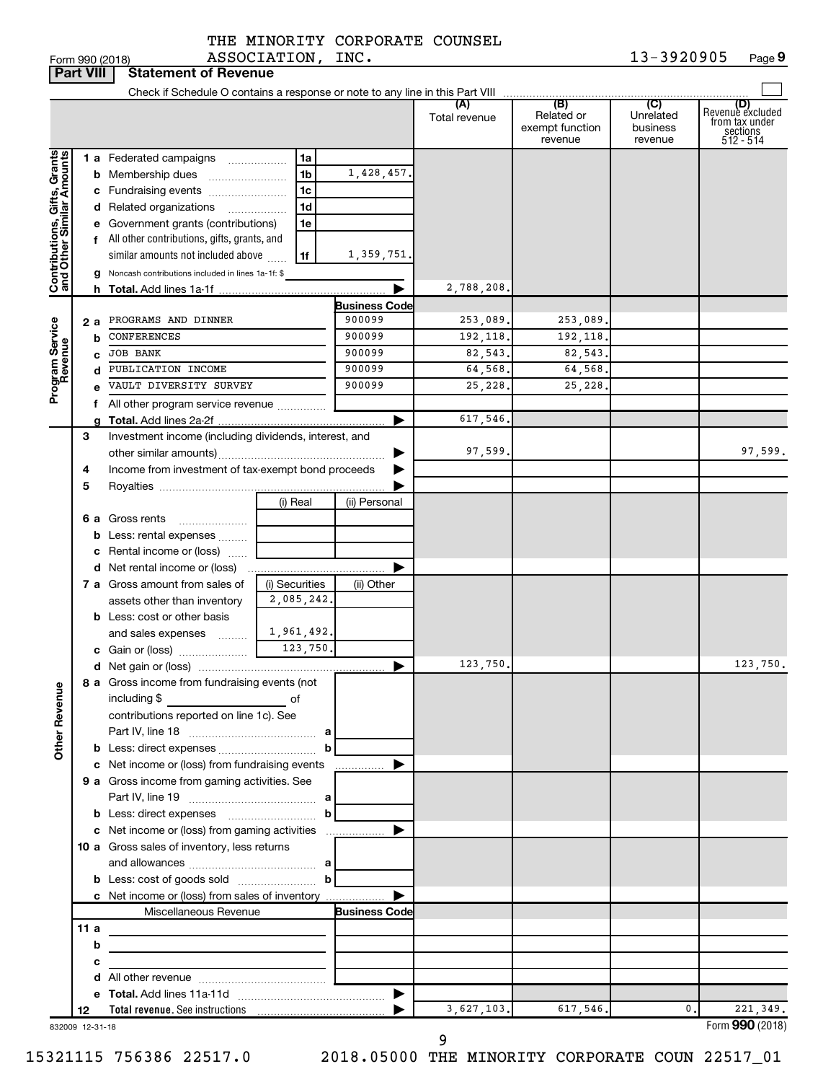|  |                   | THE MINORITY CORPORATE COUNSEL |  |
|--|-------------------|--------------------------------|--|
|  | ASSOCIATION, INC. |                                |  |

|                                                           | <b>Part VIII</b> | <b>Statement of Revenue</b>                                                                                                                                                                                                    |                |                                |                      |                                                 |                                         |                                                                    |
|-----------------------------------------------------------|------------------|--------------------------------------------------------------------------------------------------------------------------------------------------------------------------------------------------------------------------------|----------------|--------------------------------|----------------------|-------------------------------------------------|-----------------------------------------|--------------------------------------------------------------------|
|                                                           |                  |                                                                                                                                                                                                                                |                |                                |                      |                                                 |                                         |                                                                    |
|                                                           |                  |                                                                                                                                                                                                                                |                |                                | (A)<br>Total revenue | (B)<br>Related or<br>exempt function<br>revenue | (C)<br>Unrelated<br>business<br>revenue | (D)<br>Revenue excluded<br>from tax under<br>sections<br>512 - 514 |
|                                                           |                  | 1 a Federated campaigns                                                                                                                                                                                                        | 1a             |                                |                      |                                                 |                                         |                                                                    |
|                                                           |                  | <b>b</b> Membership dues                                                                                                                                                                                                       | 1b             | 1,428,457.                     |                      |                                                 |                                         |                                                                    |
|                                                           |                  | c Fundraising events                                                                                                                                                                                                           | 1c             |                                |                      |                                                 |                                         |                                                                    |
|                                                           |                  | d Related organizations<br>.                                                                                                                                                                                                   | 1d             |                                |                      |                                                 |                                         |                                                                    |
|                                                           |                  | e Government grants (contributions)                                                                                                                                                                                            | 1e             |                                |                      |                                                 |                                         |                                                                    |
|                                                           |                  | f All other contributions, gifts, grants, and                                                                                                                                                                                  |                |                                |                      |                                                 |                                         |                                                                    |
|                                                           |                  | similar amounts not included above                                                                                                                                                                                             | 1f             | 1,359,751.                     |                      |                                                 |                                         |                                                                    |
| Contributions, Gifts, Grants<br>and Other Similar Amounts |                  | g Noncash contributions included in lines 1a-1f: \$                                                                                                                                                                            |                |                                |                      |                                                 |                                         |                                                                    |
|                                                           |                  |                                                                                                                                                                                                                                |                |                                | 2,788,208.           |                                                 |                                         |                                                                    |
|                                                           | 2 a              | PROGRAMS AND DINNER                                                                                                                                                                                                            |                | <b>Business Code</b><br>900099 | 253,089.             | 253,089.                                        |                                         |                                                                    |
|                                                           | b                | <b>CONFERENCES</b>                                                                                                                                                                                                             |                | 900099                         | 192,118.             | 192,118.                                        |                                         |                                                                    |
|                                                           | c                | <b>JOB BANK</b>                                                                                                                                                                                                                |                | 900099                         | 82,543.              | 82,543                                          |                                         |                                                                    |
|                                                           |                  | d PUBLICATION INCOME                                                                                                                                                                                                           |                | 900099                         | 64,568.              | 64,568                                          |                                         |                                                                    |
| Program Service<br>Revenue                                |                  | VAULT DIVERSITY SURVEY                                                                                                                                                                                                         |                | 900099                         | 25,228.              | 25,228                                          |                                         |                                                                    |
|                                                           |                  | All other program service revenue                                                                                                                                                                                              |                |                                |                      |                                                 |                                         |                                                                    |
|                                                           |                  |                                                                                                                                                                                                                                |                |                                | 617,546.             |                                                 |                                         |                                                                    |
|                                                           | 3                | Investment income (including dividends, interest, and                                                                                                                                                                          |                |                                |                      |                                                 |                                         |                                                                    |
|                                                           |                  |                                                                                                                                                                                                                                |                |                                | 97,599.              |                                                 |                                         | 97,599.                                                            |
|                                                           | 4                | Income from investment of tax-exempt bond proceeds                                                                                                                                                                             |                |                                |                      |                                                 |                                         |                                                                    |
|                                                           | 5                |                                                                                                                                                                                                                                |                |                                |                      |                                                 |                                         |                                                                    |
|                                                           |                  |                                                                                                                                                                                                                                | (i) Real       | (ii) Personal                  |                      |                                                 |                                         |                                                                    |
|                                                           |                  | 6 a Gross rents                                                                                                                                                                                                                |                |                                |                      |                                                 |                                         |                                                                    |
|                                                           |                  | <b>b</b> Less: rental expenses                                                                                                                                                                                                 |                |                                |                      |                                                 |                                         |                                                                    |
|                                                           |                  | c Rental income or (loss)                                                                                                                                                                                                      |                |                                |                      |                                                 |                                         |                                                                    |
|                                                           |                  | 7 a Gross amount from sales of                                                                                                                                                                                                 | (i) Securities | (ii) Other                     |                      |                                                 |                                         |                                                                    |
|                                                           |                  | assets other than inventory                                                                                                                                                                                                    | 2,085,242.     |                                |                      |                                                 |                                         |                                                                    |
|                                                           |                  | <b>b</b> Less: cost or other basis                                                                                                                                                                                             |                |                                |                      |                                                 |                                         |                                                                    |
|                                                           |                  | and sales expenses                                                                                                                                                                                                             | 1,961,492.     |                                |                      |                                                 |                                         |                                                                    |
|                                                           |                  |                                                                                                                                                                                                                                | 123,750.       |                                |                      |                                                 |                                         |                                                                    |
|                                                           |                  |                                                                                                                                                                                                                                |                | ▶                              | 123,750.             |                                                 |                                         | 123,750.                                                           |
|                                                           |                  | 8 a Gross income from fundraising events (not                                                                                                                                                                                  |                |                                |                      |                                                 |                                         |                                                                    |
|                                                           |                  | including \$<br><u> 1990 - John Barn Barn, amerikansk politiker</u>                                                                                                                                                            | of             |                                |                      |                                                 |                                         |                                                                    |
|                                                           |                  | contributions reported on line 1c). See                                                                                                                                                                                        |                |                                |                      |                                                 |                                         |                                                                    |
| <b>Other Revenue</b>                                      |                  |                                                                                                                                                                                                                                |                |                                |                      |                                                 |                                         |                                                                    |
|                                                           |                  |                                                                                                                                                                                                                                |                | b                              |                      |                                                 |                                         |                                                                    |
|                                                           |                  |                                                                                                                                                                                                                                |                |                                |                      |                                                 |                                         |                                                                    |
|                                                           |                  | 9 a Gross income from gaming activities. See                                                                                                                                                                                   |                |                                |                      |                                                 |                                         |                                                                    |
|                                                           |                  | <b>b</b> Less: direct expenses <b>contained b</b>                                                                                                                                                                              |                |                                |                      |                                                 |                                         |                                                                    |
|                                                           |                  |                                                                                                                                                                                                                                |                |                                |                      |                                                 |                                         |                                                                    |
|                                                           |                  | 10 a Gross sales of inventory, less returns                                                                                                                                                                                    |                |                                |                      |                                                 |                                         |                                                                    |
|                                                           |                  |                                                                                                                                                                                                                                |                |                                |                      |                                                 |                                         |                                                                    |
|                                                           |                  |                                                                                                                                                                                                                                |                |                                |                      |                                                 |                                         |                                                                    |
|                                                           |                  | c Net income or (loss) from sales of inventory                                                                                                                                                                                 |                |                                |                      |                                                 |                                         |                                                                    |
|                                                           |                  | Miscellaneous Revenue                                                                                                                                                                                                          |                | <b>Business Code</b>           |                      |                                                 |                                         |                                                                    |
|                                                           | 11a              |                                                                                                                                                                                                                                |                |                                |                      |                                                 |                                         |                                                                    |
|                                                           | b                | <u> 1989 - Johann John Stein, markin fan it ferstjer fan it ferstjer fan it ferstjer fan it ferstjer fan it fers</u>                                                                                                           |                |                                |                      |                                                 |                                         |                                                                    |
|                                                           | с                | <u> 1989 - Johann Barn, mars an t-Amerikaansk kommunister (</u>                                                                                                                                                                |                |                                |                      |                                                 |                                         |                                                                    |
|                                                           |                  |                                                                                                                                                                                                                                |                |                                |                      |                                                 |                                         |                                                                    |
|                                                           |                  |                                                                                                                                                                                                                                |                |                                |                      |                                                 |                                         |                                                                    |
|                                                           | 12               | Total revenue. See instructions [101] [101] [101] [101] [101] [101] [101] [101] [101] [101] [101] [101] [101] [101] [101] [101] [101] [101] [101] [101] [101] [101] [101] [101] [101] [101] [101] [101] [101] [101] [101] [101 |                |                                | 3,627,103.           | 617,546.                                        | 0.                                      | 221,349.<br>Form 990 (2018)                                        |
|                                                           | 832009 12-31-18  |                                                                                                                                                                                                                                |                |                                | 9                    |                                                 |                                         |                                                                    |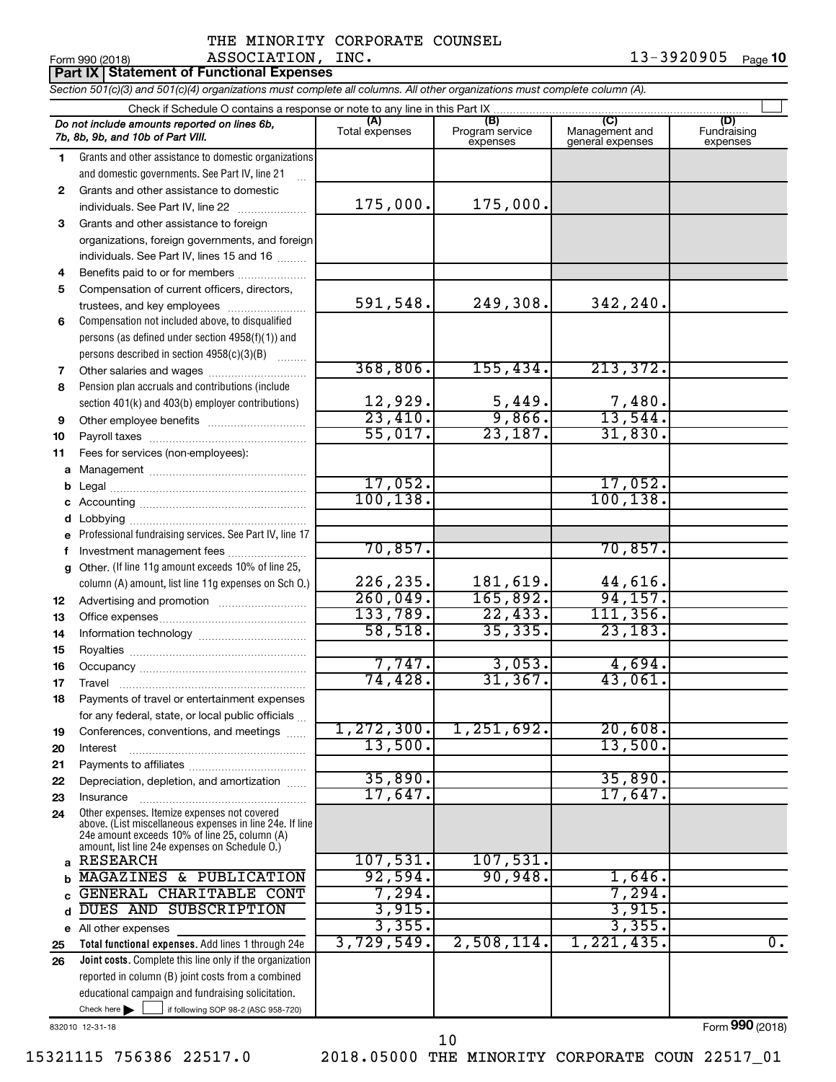| Form 990 (2018) | ASSOCIATION, INC.                               | 13-3920905 $_{Page}$ 10 |  |
|-----------------|-------------------------------------------------|-------------------------|--|
|                 | <b>Part IX Statement of Functional Expenses</b> |                         |  |

*Section 501(c)(3) and 501(c)(4) organizations must complete all columns. All other organizations must complete column (A).*

|              | Check if Schedule O contains a response or note to any line in this Part IX                              |                                  |                                    |                                           |                                |  |  |  |  |
|--------------|----------------------------------------------------------------------------------------------------------|----------------------------------|------------------------------------|-------------------------------------------|--------------------------------|--|--|--|--|
|              | Do not include amounts reported on lines 6b,<br>7b, 8b, 9b, and 10b of Part VIII.                        | (A)<br>Total expenses            | (B)<br>Program service<br>expenses | (C)<br>Management and<br>general expenses | (D)<br>Fundraising<br>expenses |  |  |  |  |
| 1.           | Grants and other assistance to domestic organizations                                                    |                                  |                                    |                                           |                                |  |  |  |  |
|              | and domestic governments. See Part IV, line 21                                                           |                                  |                                    |                                           |                                |  |  |  |  |
| $\mathbf{2}$ | Grants and other assistance to domestic                                                                  |                                  |                                    |                                           |                                |  |  |  |  |
|              | individuals. See Part IV, line 22                                                                        | 175,000.                         | 175,000.                           |                                           |                                |  |  |  |  |
| 3            | Grants and other assistance to foreign                                                                   |                                  |                                    |                                           |                                |  |  |  |  |
|              | organizations, foreign governments, and foreign                                                          |                                  |                                    |                                           |                                |  |  |  |  |
|              | individuals. See Part IV, lines 15 and 16                                                                |                                  |                                    |                                           |                                |  |  |  |  |
| 4            | Benefits paid to or for members                                                                          |                                  |                                    |                                           |                                |  |  |  |  |
| 5            | Compensation of current officers, directors,                                                             |                                  |                                    |                                           |                                |  |  |  |  |
|              | trustees, and key employees                                                                              | 591,548.                         | 249,308.                           | 342,240.                                  |                                |  |  |  |  |
| 6            | Compensation not included above, to disqualified                                                         |                                  |                                    |                                           |                                |  |  |  |  |
|              | persons (as defined under section 4958(f)(1)) and                                                        |                                  |                                    |                                           |                                |  |  |  |  |
|              | persons described in section 4958(c)(3)(B)                                                               |                                  |                                    |                                           |                                |  |  |  |  |
| 7            | Other salaries and wages                                                                                 | 368,806.                         | 155,434.                           | 213,372.                                  |                                |  |  |  |  |
| 8            | Pension plan accruals and contributions (include                                                         |                                  |                                    |                                           |                                |  |  |  |  |
|              | section 401(k) and 403(b) employer contributions)                                                        | 12,929.<br>$\overline{23,410}$ . | $\frac{5,449}{9,866}$              | $\frac{7,480}{13,544}$                    |                                |  |  |  |  |
| 9            | Other employee benefits                                                                                  | 55,017.                          |                                    |                                           |                                |  |  |  |  |
| 10           |                                                                                                          |                                  | 23,187.                            | 31,830.                                   |                                |  |  |  |  |
| 11           | Fees for services (non-employees):                                                                       |                                  |                                    |                                           |                                |  |  |  |  |
| а            |                                                                                                          | 17,052.                          |                                    | 17,052.                                   |                                |  |  |  |  |
| b            |                                                                                                          | 100, 138.                        |                                    | 100, 138.                                 |                                |  |  |  |  |
| c            |                                                                                                          |                                  |                                    |                                           |                                |  |  |  |  |
| d            |                                                                                                          |                                  |                                    |                                           |                                |  |  |  |  |
|              | Professional fundraising services. See Part IV, line 17                                                  | 70,857.                          |                                    | 70,857.                                   |                                |  |  |  |  |
| f<br>g       | Investment management fees<br>Other. (If line 11g amount exceeds 10% of line 25,                         |                                  |                                    |                                           |                                |  |  |  |  |
|              | column (A) amount, list line 11g expenses on Sch O.)                                                     | 226,235.                         | 181,619.                           | 44,616.                                   |                                |  |  |  |  |
| 12           |                                                                                                          | 260,049.                         | 165,892.                           | 94, 157.                                  |                                |  |  |  |  |
| 13           |                                                                                                          | 133,789.                         | 22,433.                            | 111, 356.                                 |                                |  |  |  |  |
| 14           |                                                                                                          | 58,518.                          | 35,335.                            | 23, 183.                                  |                                |  |  |  |  |
| 15           |                                                                                                          |                                  |                                    |                                           |                                |  |  |  |  |
| 16           |                                                                                                          | 7,747.                           | 3,053.                             | 4,694.                                    |                                |  |  |  |  |
| 17           |                                                                                                          | 74,428.                          | 31, 367.                           | 43,061.                                   |                                |  |  |  |  |
| 18           | Payments of travel or entertainment expenses                                                             |                                  |                                    |                                           |                                |  |  |  |  |
|              | for any federal, state, or local public officials                                                        |                                  |                                    |                                           |                                |  |  |  |  |
| 19           | Conferences, conventions, and meetings                                                                   | 1, 272, 300.                     | 1,251,692.                         | 20,608.                                   |                                |  |  |  |  |
| 20           | Interest                                                                                                 | 13,500.                          |                                    | 13,500.                                   |                                |  |  |  |  |
| 21           |                                                                                                          |                                  |                                    |                                           |                                |  |  |  |  |
| 22           | Depreciation, depletion, and amortization                                                                | 35,890.                          |                                    | 35,890.                                   |                                |  |  |  |  |
| 23           | Insurance                                                                                                | 17,647.                          |                                    | 17,647.                                   |                                |  |  |  |  |
| 24           | Other expenses. Itemize expenses not covered<br>above. (List miscellaneous expenses in line 24e. If line |                                  |                                    |                                           |                                |  |  |  |  |
|              | 24e amount exceeds 10% of line 25, column (A)                                                            |                                  |                                    |                                           |                                |  |  |  |  |
|              | amount, list line 24e expenses on Schedule O.)                                                           |                                  |                                    |                                           |                                |  |  |  |  |
| a            | <b>RESEARCH</b>                                                                                          | 107,531.                         | 107,531.                           |                                           |                                |  |  |  |  |
| b            | MAGAZINES & PUBLICATION                                                                                  | 92,594.<br>7,294.                | 90,948.                            | 1,646.<br>7,294.                          |                                |  |  |  |  |
| C            | GENERAL CHARITABLE CONT<br>DUES AND SUBSCRIPTION                                                         | 3,915.                           |                                    | 3,915.                                    |                                |  |  |  |  |
| d            |                                                                                                          | 3,355.                           |                                    | 3,355.                                    |                                |  |  |  |  |
|              | e All other expenses<br>Total functional expenses. Add lines 1 through 24e                               | 3,729,549.                       | 2,508,114.                         | 1, 221, 435.                              | $\overline{0}$ .               |  |  |  |  |
| 25<br>26     | <b>Joint costs.</b> Complete this line only if the organization                                          |                                  |                                    |                                           |                                |  |  |  |  |
|              | reported in column (B) joint costs from a combined                                                       |                                  |                                    |                                           |                                |  |  |  |  |
|              | educational campaign and fundraising solicitation.                                                       |                                  |                                    |                                           |                                |  |  |  |  |
|              | Check here $\blacktriangleright$<br>if following SOP 98-2 (ASC 958-720)                                  |                                  |                                    |                                           |                                |  |  |  |  |
|              |                                                                                                          |                                  |                                    |                                           |                                |  |  |  |  |

832010 12-31-18

15321115 756386 22517.0 2018.05000 THE MINORITY CORPORATE COUN 22517\_01

10

Form (2018) **990**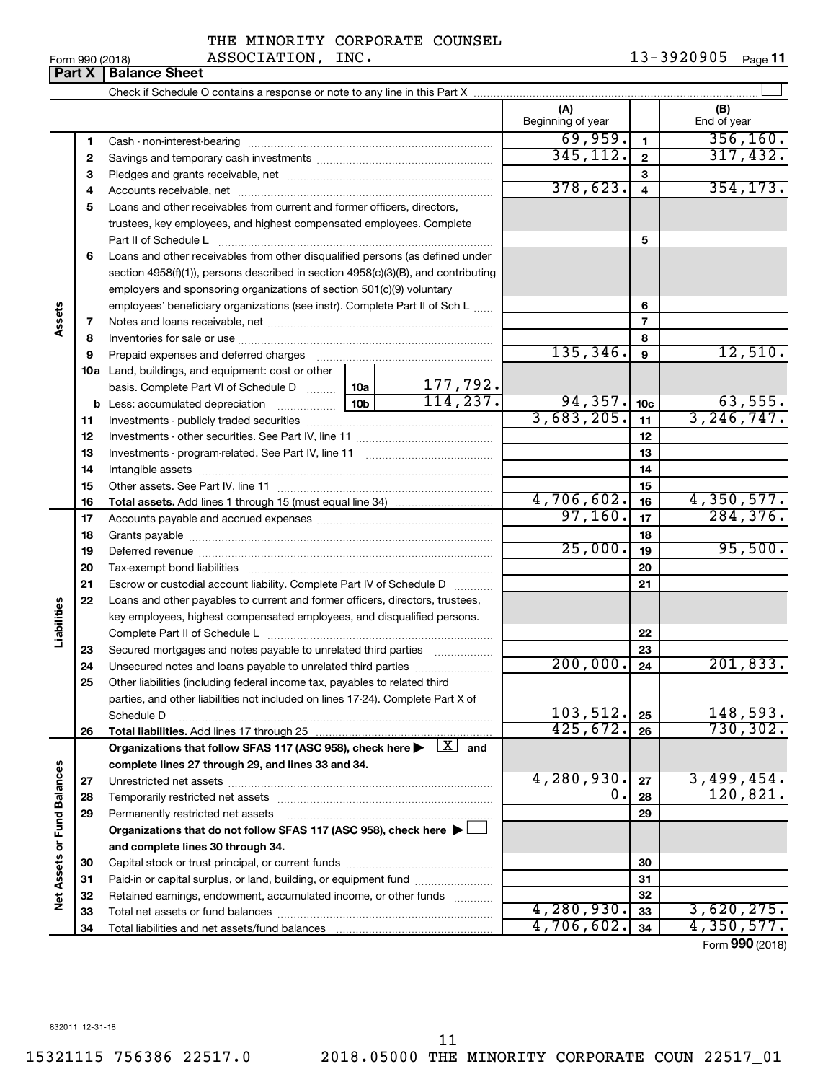| Form 990 (2018) |                               |  |
|-----------------|-------------------------------|--|
|                 | <b>Part X   Balance Sheet</b> |  |

|                             |          |                                                                                                                                     |                 |                       | (A)<br>Beginning of year |                 | (B)<br>End of year      |
|-----------------------------|----------|-------------------------------------------------------------------------------------------------------------------------------------|-----------------|-----------------------|--------------------------|-----------------|-------------------------|
|                             | 1        |                                                                                                                                     |                 |                       | 69,959.                  | $\mathbf{1}$    | 356, 160.               |
|                             | 2        |                                                                                                                                     | 345, 112.       | $\overline{2}$        | 317,432.                 |                 |                         |
|                             | з        |                                                                                                                                     |                 |                       |                          | 3               |                         |
|                             | 4        |                                                                                                                                     |                 | 378,623.              | 4                        | 354, 173.       |                         |
|                             | 5        | Loans and other receivables from current and former officers, directors,                                                            |                 |                       |                          |                 |                         |
|                             |          | trustees, key employees, and highest compensated employees. Complete                                                                |                 |                       |                          |                 |                         |
|                             |          | Part II of Schedule L                                                                                                               |                 |                       |                          | 5               |                         |
|                             | 6        | Loans and other receivables from other disqualified persons (as defined under                                                       |                 |                       |                          |                 |                         |
|                             |          | section 4958(f)(1)), persons described in section 4958(c)(3)(B), and contributing                                                   |                 |                       |                          |                 |                         |
|                             |          | employers and sponsoring organizations of section 501(c)(9) voluntary                                                               |                 |                       |                          |                 |                         |
|                             |          | employees' beneficiary organizations (see instr). Complete Part II of Sch L                                                         |                 |                       |                          | 6               |                         |
| Assets                      | 7        |                                                                                                                                     |                 |                       |                          | $\overline{7}$  |                         |
|                             | 8        |                                                                                                                                     |                 |                       |                          | 8               |                         |
|                             | 9        | Prepaid expenses and deferred charges                                                                                               |                 |                       | 135, 346.                | 9               | 12,510.                 |
|                             |          | <b>10a</b> Land, buildings, and equipment: cost or other                                                                            |                 |                       |                          |                 |                         |
|                             |          | basis. Complete Part VI of Schedule D  10a                                                                                          |                 | 177,792.<br>114, 237. |                          |                 |                         |
|                             |          |                                                                                                                                     | 10 <sub>b</sub> |                       | 94, 357.<br>3,683,205.   | 10 <sub>c</sub> | 63,555.<br>3, 246, 747. |
|                             | 11       |                                                                                                                                     |                 |                       |                          | 11              |                         |
|                             | 12       |                                                                                                                                     |                 |                       |                          | 12              |                         |
|                             | 13       |                                                                                                                                     |                 |                       |                          | 13              |                         |
|                             | 14       |                                                                                                                                     |                 |                       |                          | 14              |                         |
|                             | 15       |                                                                                                                                     |                 |                       | 4,706,602.               | 15<br>16        | 4,350,577.              |
|                             | 16<br>17 |                                                                                                                                     |                 |                       | 97,160.                  | 17              | 284, 376.               |
|                             | 18       |                                                                                                                                     |                 |                       |                          | 18              |                         |
|                             | 19       |                                                                                                                                     |                 | 25,000.               | 19                       | 95,500.         |                         |
|                             | 20       |                                                                                                                                     |                 |                       |                          | 20              |                         |
|                             | 21       | Escrow or custodial account liability. Complete Part IV of Schedule D                                                               |                 |                       |                          | 21              |                         |
|                             | 22       | Loans and other payables to current and former officers, directors, trustees,                                                       |                 |                       |                          |                 |                         |
| Liabilities                 |          | key employees, highest compensated employees, and disqualified persons.                                                             |                 |                       |                          |                 |                         |
|                             |          |                                                                                                                                     |                 |                       |                          | 22              |                         |
|                             | 23       | Secured mortgages and notes payable to unrelated third parties <i>manumum</i>                                                       |                 |                       |                          | 23              |                         |
|                             | 24       | Unsecured notes and loans payable to unrelated third parties                                                                        |                 |                       | 200,000.                 | 24              | 201,833.                |
|                             | 25       | Other liabilities (including federal income tax, payables to related third                                                          |                 |                       |                          |                 |                         |
|                             |          | parties, and other liabilities not included on lines 17-24). Complete Part X of                                                     |                 |                       |                          |                 |                         |
|                             |          | Schedule D                                                                                                                          |                 |                       | 103,512.                 | 25              | 148,593.                |
|                             | 26       | Total liabilities. Add lines 17 through 25                                                                                          |                 |                       | 425,672.                 | 26              | 730, 302.               |
|                             |          | Organizations that follow SFAS 117 (ASC 958), check here $\blacktriangleright \begin{array}{ c } \hline X & \hline \end{array}$ and |                 |                       |                          |                 |                         |
|                             |          | complete lines 27 through 29, and lines 33 and 34.                                                                                  |                 |                       |                          |                 |                         |
|                             | 27       |                                                                                                                                     |                 |                       | 4,280,930.               | 27              | 3,499,454.              |
|                             | 28       |                                                                                                                                     |                 |                       | $\overline{0}$ .         | 28              | 120,821.                |
|                             | 29       | Permanently restricted net assets                                                                                                   |                 |                       |                          | 29              |                         |
|                             |          | Organizations that do not follow SFAS 117 (ASC 958), check here ▶                                                                   |                 |                       |                          |                 |                         |
|                             |          | and complete lines 30 through 34.                                                                                                   |                 |                       |                          |                 |                         |
|                             | 30       |                                                                                                                                     |                 |                       |                          | 30              |                         |
|                             | 31       | Paid-in or capital surplus, or land, building, or equipment fund                                                                    |                 |                       |                          | 31              |                         |
| Net Assets or Fund Balances | 32       | Retained earnings, endowment, accumulated income, or other funds                                                                    |                 |                       | 4,280,930.               | 32              | 3,620,275.              |
|                             | 33       |                                                                                                                                     |                 |                       | 4,706,602.               | 33              | 4,350,577.              |
|                             | 34       |                                                                                                                                     |                 |                       |                          | 34              |                         |

Form (2018) **990**

832011 12-31-18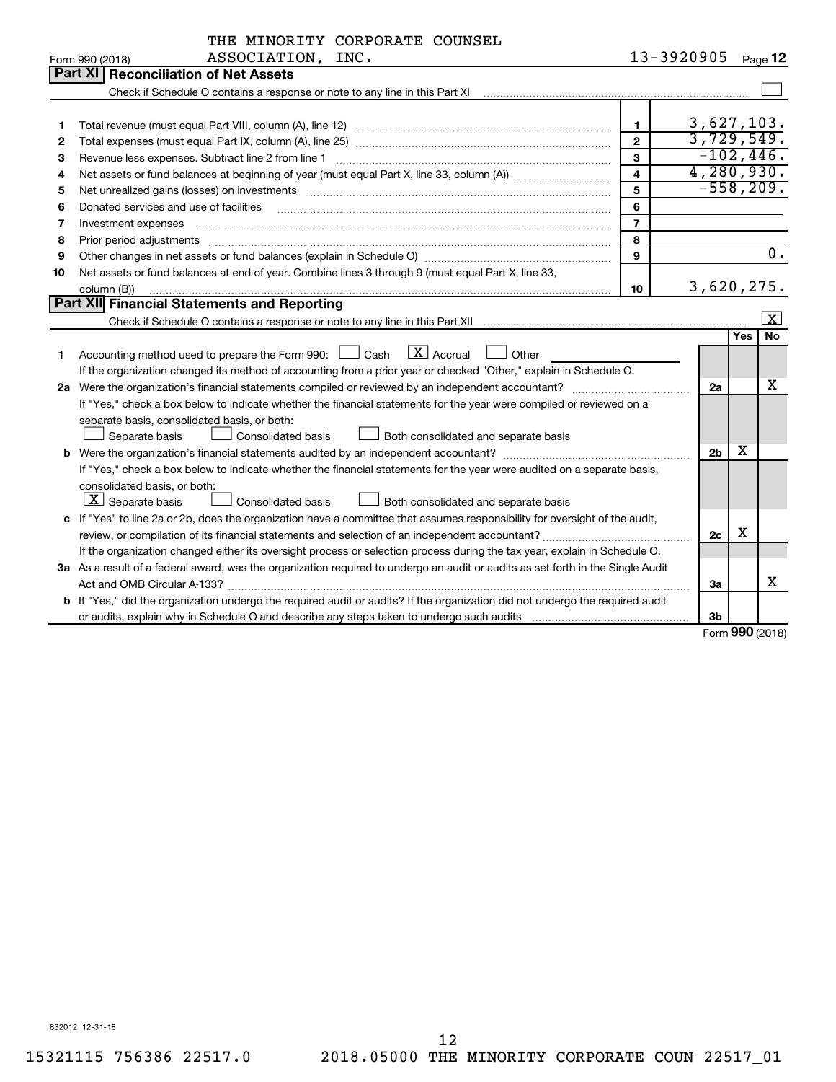| 13-3920905<br>ASSOCIATION, INC.<br>Form 990 (2018)                                                                                                                                                                                       |                |            |                         |
|------------------------------------------------------------------------------------------------------------------------------------------------------------------------------------------------------------------------------------------|----------------|------------|-------------------------|
|                                                                                                                                                                                                                                          |                |            | Page 12                 |
| Part XI   Reconciliation of Net Assets                                                                                                                                                                                                   |                |            |                         |
|                                                                                                                                                                                                                                          |                |            |                         |
|                                                                                                                                                                                                                                          |                |            |                         |
| 1<br>1                                                                                                                                                                                                                                   | 3,627,103.     |            |                         |
| $\overline{2}$<br>2                                                                                                                                                                                                                      | 3,729,549.     |            |                         |
| 3<br>з                                                                                                                                                                                                                                   | $-102, 446.$   |            |                         |
| $\overline{\mathbf{4}}$<br>4                                                                                                                                                                                                             | 4, 280, 930.   |            |                         |
| 5<br>Net unrealized gains (losses) on investments [11] matter than the control of the state of the state of the state of the state of the state of the state of the state of the state of the state of the state of the state of th<br>5 |                |            | $-558, 209.$            |
| 6<br>Donated services and use of facilities<br>6                                                                                                                                                                                         |                |            |                         |
| $\overline{7}$<br>7<br>Investment expenses                                                                                                                                                                                               |                |            |                         |
| 8<br>8<br>Prior period adjustments                                                                                                                                                                                                       |                |            |                         |
| 9<br>9                                                                                                                                                                                                                                   |                |            | $\overline{0}$ .        |
| Net assets or fund balances at end of year. Combine lines 3 through 9 (must equal Part X, line 33,<br>10                                                                                                                                 |                |            |                         |
| 10<br>column (B))                                                                                                                                                                                                                        | 3,620,275.     |            |                         |
| Part XII Financial Statements and Reporting                                                                                                                                                                                              |                |            |                         |
|                                                                                                                                                                                                                                          |                |            | $\overline{\mathbf{X}}$ |
|                                                                                                                                                                                                                                          |                | <b>Yes</b> | No                      |
| $\mathbf{X}$ Accrual<br>Accounting method used to prepare the Form 990: $\Box$ Cash<br>Other<br>1                                                                                                                                        |                |            |                         |
| If the organization changed its method of accounting from a prior year or checked "Other," explain in Schedule O.                                                                                                                        |                |            |                         |
|                                                                                                                                                                                                                                          | 2a             |            | Х                       |
| If "Yes," check a box below to indicate whether the financial statements for the year were compiled or reviewed on a                                                                                                                     |                |            |                         |
| separate basis, consolidated basis, or both:                                                                                                                                                                                             |                |            |                         |
| Separate basis<br><b>Consolidated basis</b><br>Both consolidated and separate basis                                                                                                                                                      |                |            |                         |
| <b>b</b> Were the organization's financial statements audited by an independent accountant?                                                                                                                                              | 2 <sub>b</sub> | х          |                         |
| If "Yes," check a box below to indicate whether the financial statements for the year were audited on a separate basis,                                                                                                                  |                |            |                         |
| consolidated basis, or both:                                                                                                                                                                                                             |                |            |                         |
| $ \mathbf{X} $ Separate basis<br>Consolidated basis<br>Both consolidated and separate basis                                                                                                                                              |                |            |                         |
| c If "Yes" to line 2a or 2b, does the organization have a committee that assumes responsibility for oversight of the audit,                                                                                                              |                |            |                         |
|                                                                                                                                                                                                                                          | 2c             | х          |                         |
| If the organization changed either its oversight process or selection process during the tax year, explain in Schedule O.                                                                                                                |                |            |                         |
| 3a As a result of a federal award, was the organization required to undergo an audit or audits as set forth in the Single Audit                                                                                                          |                |            |                         |
|                                                                                                                                                                                                                                          | За             |            | X                       |
| b If "Yes," did the organization undergo the required audit or audits? If the organization did not undergo the required audit                                                                                                            |                |            |                         |
|                                                                                                                                                                                                                                          | 3b             | <b>000</b> |                         |

Form (2018) **990**

832012 12-31-18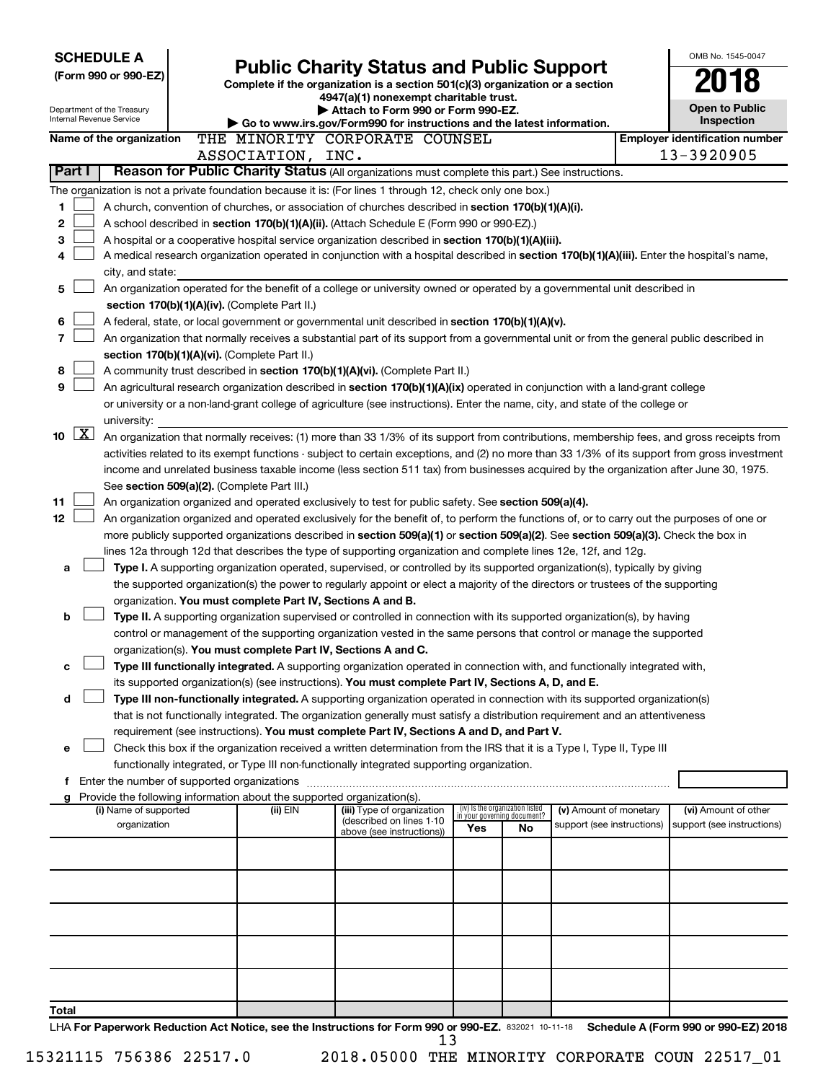| <b>SCHEDULE A</b>                                                        |                                                                                                                         | <b>Public Charity Status and Public Support</b>                                                                                                                                                                                               |     |                                                                |                            |  | OMB No. 1545-0047                     |
|--------------------------------------------------------------------------|-------------------------------------------------------------------------------------------------------------------------|-----------------------------------------------------------------------------------------------------------------------------------------------------------------------------------------------------------------------------------------------|-----|----------------------------------------------------------------|----------------------------|--|---------------------------------------|
| (Form 990 or 990-EZ)                                                     |                                                                                                                         |                                                                                                                                                                                                                                               |     |                                                                |                            |  |                                       |
|                                                                          | Complete if the organization is a section 501(c)(3) organization or a section<br>4947(a)(1) nonexempt charitable trust. |                                                                                                                                                                                                                                               |     |                                                                |                            |  |                                       |
| Department of the Treasury                                               |                                                                                                                         | Attach to Form 990 or Form 990-EZ.                                                                                                                                                                                                            |     |                                                                |                            |  | <b>Open to Public</b>                 |
| Internal Revenue Service                                                 |                                                                                                                         | Go to www.irs.gov/Form990 for instructions and the latest information.                                                                                                                                                                        |     |                                                                |                            |  | <b>Inspection</b>                     |
| Name of the organization                                                 |                                                                                                                         | THE MINORITY CORPORATE COUNSEL                                                                                                                                                                                                                |     |                                                                |                            |  | <b>Employer identification number</b> |
|                                                                          | ASSOCIATION, INC.                                                                                                       |                                                                                                                                                                                                                                               |     |                                                                |                            |  | 13-3920905                            |
| Part I                                                                   |                                                                                                                         | Reason for Public Charity Status (All organizations must complete this part.) See instructions.                                                                                                                                               |     |                                                                |                            |  |                                       |
|                                                                          |                                                                                                                         | The organization is not a private foundation because it is: (For lines 1 through 12, check only one box.)                                                                                                                                     |     |                                                                |                            |  |                                       |
| 1                                                                        |                                                                                                                         | A church, convention of churches, or association of churches described in section 170(b)(1)(A)(i).                                                                                                                                            |     |                                                                |                            |  |                                       |
| 2                                                                        |                                                                                                                         | A school described in section 170(b)(1)(A)(ii). (Attach Schedule E (Form 990 or 990-EZ).)                                                                                                                                                     |     |                                                                |                            |  |                                       |
| 3                                                                        |                                                                                                                         | A hospital or a cooperative hospital service organization described in section 170(b)(1)(A)(iii).                                                                                                                                             |     |                                                                |                            |  |                                       |
| 4                                                                        |                                                                                                                         | A medical research organization operated in conjunction with a hospital described in section 170(b)(1)(A)(iii). Enter the hospital's name,                                                                                                    |     |                                                                |                            |  |                                       |
| city, and state:                                                         |                                                                                                                         |                                                                                                                                                                                                                                               |     |                                                                |                            |  |                                       |
| 5                                                                        |                                                                                                                         | An organization operated for the benefit of a college or university owned or operated by a governmental unit described in                                                                                                                     |     |                                                                |                            |  |                                       |
| 6                                                                        | section 170(b)(1)(A)(iv). (Complete Part II.)                                                                           |                                                                                                                                                                                                                                               |     |                                                                |                            |  |                                       |
| 7                                                                        |                                                                                                                         | A federal, state, or local government or governmental unit described in section 170(b)(1)(A)(v).<br>An organization that normally receives a substantial part of its support from a governmental unit or from the general public described in |     |                                                                |                            |  |                                       |
|                                                                          | section 170(b)(1)(A)(vi). (Complete Part II.)                                                                           |                                                                                                                                                                                                                                               |     |                                                                |                            |  |                                       |
| 8                                                                        |                                                                                                                         | A community trust described in section 170(b)(1)(A)(vi). (Complete Part II.)                                                                                                                                                                  |     |                                                                |                            |  |                                       |
| 9                                                                        |                                                                                                                         | An agricultural research organization described in section 170(b)(1)(A)(ix) operated in conjunction with a land-grant college                                                                                                                 |     |                                                                |                            |  |                                       |
|                                                                          |                                                                                                                         | or university or a non-land-grant college of agriculture (see instructions). Enter the name, city, and state of the college or                                                                                                                |     |                                                                |                            |  |                                       |
| university:                                                              |                                                                                                                         |                                                                                                                                                                                                                                               |     |                                                                |                            |  |                                       |
| $\boxed{\text{X}}$<br>10                                                 |                                                                                                                         | An organization that normally receives: (1) more than 33 1/3% of its support from contributions, membership fees, and gross receipts from                                                                                                     |     |                                                                |                            |  |                                       |
|                                                                          |                                                                                                                         | activities related to its exempt functions - subject to certain exceptions, and (2) no more than 33 1/3% of its support from gross investment                                                                                                 |     |                                                                |                            |  |                                       |
|                                                                          |                                                                                                                         | income and unrelated business taxable income (less section 511 tax) from businesses acquired by the organization after June 30, 1975.                                                                                                         |     |                                                                |                            |  |                                       |
|                                                                          | See section 509(a)(2). (Complete Part III.)                                                                             |                                                                                                                                                                                                                                               |     |                                                                |                            |  |                                       |
| 11                                                                       |                                                                                                                         | An organization organized and operated exclusively to test for public safety. See section 509(a)(4).                                                                                                                                          |     |                                                                |                            |  |                                       |
| 12                                                                       |                                                                                                                         | An organization organized and operated exclusively for the benefit of, to perform the functions of, or to carry out the purposes of one or                                                                                                    |     |                                                                |                            |  |                                       |
|                                                                          |                                                                                                                         | more publicly supported organizations described in section 509(a)(1) or section 509(a)(2). See section 509(a)(3). Check the box in                                                                                                            |     |                                                                |                            |  |                                       |
|                                                                          |                                                                                                                         | lines 12a through 12d that describes the type of supporting organization and complete lines 12e, 12f, and 12g.                                                                                                                                |     |                                                                |                            |  |                                       |
| а                                                                        |                                                                                                                         | Type I. A supporting organization operated, supervised, or controlled by its supported organization(s), typically by giving                                                                                                                   |     |                                                                |                            |  |                                       |
|                                                                          |                                                                                                                         | the supported organization(s) the power to regularly appoint or elect a majority of the directors or trustees of the supporting                                                                                                               |     |                                                                |                            |  |                                       |
|                                                                          |                                                                                                                         | organization. You must complete Part IV, Sections A and B.                                                                                                                                                                                    |     |                                                                |                            |  |                                       |
| b                                                                        |                                                                                                                         | Type II. A supporting organization supervised or controlled in connection with its supported organization(s), by having                                                                                                                       |     |                                                                |                            |  |                                       |
|                                                                          |                                                                                                                         | control or management of the supporting organization vested in the same persons that control or manage the supported<br>organization(s). You must complete Part IV, Sections A and C.                                                         |     |                                                                |                            |  |                                       |
| с                                                                        |                                                                                                                         | Type III functionally integrated. A supporting organization operated in connection with, and functionally integrated with,                                                                                                                    |     |                                                                |                            |  |                                       |
|                                                                          |                                                                                                                         | its supported organization(s) (see instructions). You must complete Part IV, Sections A, D, and E.                                                                                                                                            |     |                                                                |                            |  |                                       |
| d                                                                        |                                                                                                                         | Type III non-functionally integrated. A supporting organization operated in connection with its supported organization(s)                                                                                                                     |     |                                                                |                            |  |                                       |
|                                                                          |                                                                                                                         | that is not functionally integrated. The organization generally must satisfy a distribution requirement and an attentiveness                                                                                                                  |     |                                                                |                            |  |                                       |
|                                                                          |                                                                                                                         | requirement (see instructions). You must complete Part IV, Sections A and D, and Part V.                                                                                                                                                      |     |                                                                |                            |  |                                       |
| е                                                                        |                                                                                                                         | Check this box if the organization received a written determination from the IRS that it is a Type I, Type II, Type III                                                                                                                       |     |                                                                |                            |  |                                       |
|                                                                          |                                                                                                                         | functionally integrated, or Type III non-functionally integrated supporting organization.                                                                                                                                                     |     |                                                                |                            |  |                                       |
| f Enter the number of supported organizations                            |                                                                                                                         |                                                                                                                                                                                                                                               |     |                                                                |                            |  |                                       |
| g Provide the following information about the supported organization(s). |                                                                                                                         |                                                                                                                                                                                                                                               |     |                                                                |                            |  |                                       |
| (i) Name of supported                                                    | (ii) EIN                                                                                                                | (iii) Type of organization<br>(described on lines 1-10                                                                                                                                                                                        |     | (iv) Is the organization listed<br>in your governing document? | (v) Amount of monetary     |  | (vi) Amount of other                  |
| organization                                                             |                                                                                                                         | above (see instructions))                                                                                                                                                                                                                     | Yes | No                                                             | support (see instructions) |  | support (see instructions)            |
|                                                                          |                                                                                                                         |                                                                                                                                                                                                                                               |     |                                                                |                            |  |                                       |
|                                                                          |                                                                                                                         |                                                                                                                                                                                                                                               |     |                                                                |                            |  |                                       |
|                                                                          |                                                                                                                         |                                                                                                                                                                                                                                               |     |                                                                |                            |  |                                       |
|                                                                          |                                                                                                                         |                                                                                                                                                                                                                                               |     |                                                                |                            |  |                                       |
|                                                                          |                                                                                                                         |                                                                                                                                                                                                                                               |     |                                                                |                            |  |                                       |
|                                                                          |                                                                                                                         |                                                                                                                                                                                                                                               |     |                                                                |                            |  |                                       |
|                                                                          |                                                                                                                         |                                                                                                                                                                                                                                               |     |                                                                |                            |  |                                       |
|                                                                          |                                                                                                                         |                                                                                                                                                                                                                                               |     |                                                                |                            |  |                                       |
|                                                                          |                                                                                                                         |                                                                                                                                                                                                                                               |     |                                                                |                            |  |                                       |
| Total                                                                    |                                                                                                                         |                                                                                                                                                                                                                                               |     |                                                                |                            |  |                                       |
|                                                                          |                                                                                                                         | LHA For Paperwork Reduction Act Notice, see the Instructions for Form 990 or 990-EZ. 832021 10-11-18                                                                                                                                          |     |                                                                |                            |  | Schedule A (Form 990 or 990-EZ) 2018  |
|                                                                          |                                                                                                                         | 1. 2.                                                                                                                                                                                                                                         |     |                                                                |                            |  |                                       |

15321115 756386 22517.0 2018.05000 THE MINORITY CORPORATE COUN 22517\_01

13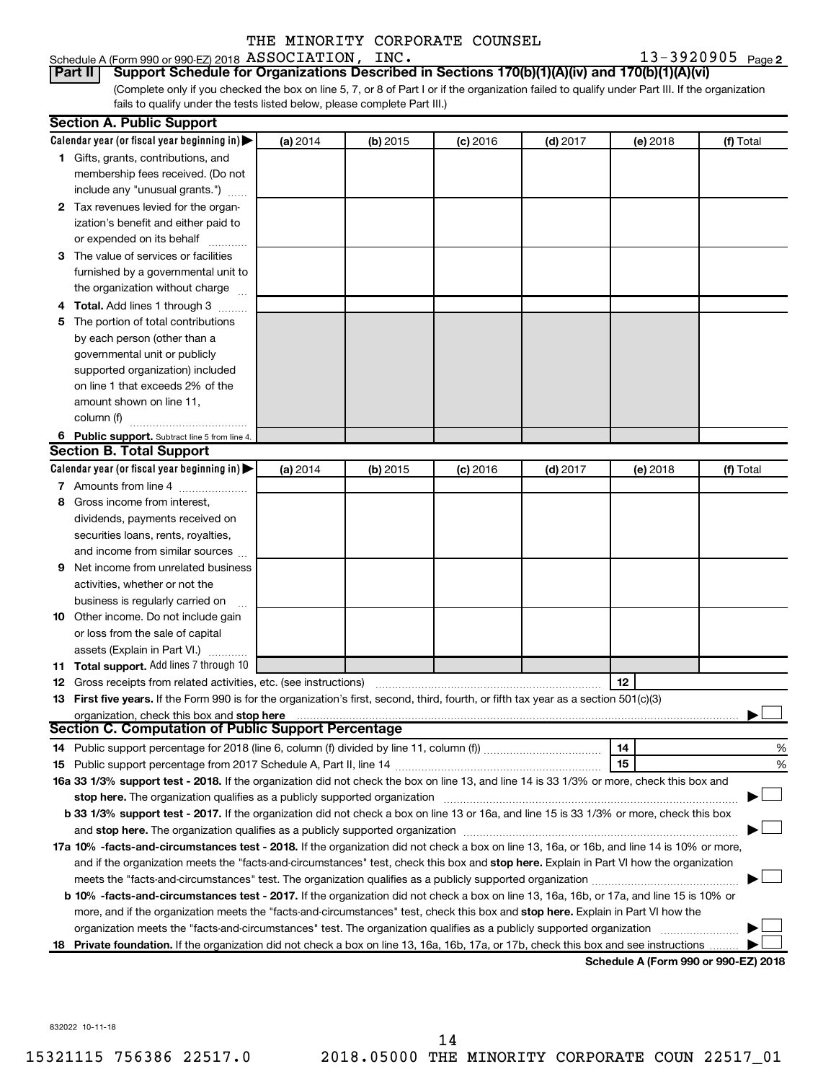#### Schedule A (Form 990 or 990-EZ) 2018 Page ASSOCIATION, INC. 13-3920905

13-3920905 Page 2

(Complete only if you checked the box on line 5, 7, or 8 of Part I or if the organization failed to qualify under Part III. If the organization fails to qualify under the tests listed below, please complete Part III.) **Part II Support Schedule for Organizations Described in Sections 170(b)(1)(A)(iv) and 170(b)(1)(A)(vi)**

|    | <b>Section A. Public Support</b>                                                                                                           |          |          |            |            |          |                                      |
|----|--------------------------------------------------------------------------------------------------------------------------------------------|----------|----------|------------|------------|----------|--------------------------------------|
|    | Calendar year (or fiscal year beginning in) $\blacktriangleright$                                                                          | (a) 2014 | (b) 2015 | $(c)$ 2016 | $(d)$ 2017 | (e) 2018 | (f) Total                            |
|    | 1 Gifts, grants, contributions, and                                                                                                        |          |          |            |            |          |                                      |
|    | membership fees received. (Do not                                                                                                          |          |          |            |            |          |                                      |
|    | include any "unusual grants.")                                                                                                             |          |          |            |            |          |                                      |
|    | 2 Tax revenues levied for the organ-                                                                                                       |          |          |            |            |          |                                      |
|    | ization's benefit and either paid to                                                                                                       |          |          |            |            |          |                                      |
|    | or expended on its behalf                                                                                                                  |          |          |            |            |          |                                      |
|    | 3 The value of services or facilities                                                                                                      |          |          |            |            |          |                                      |
|    | furnished by a governmental unit to                                                                                                        |          |          |            |            |          |                                      |
|    | the organization without charge                                                                                                            |          |          |            |            |          |                                      |
|    | Total. Add lines 1 through 3                                                                                                               |          |          |            |            |          |                                      |
| 5  | The portion of total contributions                                                                                                         |          |          |            |            |          |                                      |
|    | by each person (other than a                                                                                                               |          |          |            |            |          |                                      |
|    | governmental unit or publicly                                                                                                              |          |          |            |            |          |                                      |
|    | supported organization) included                                                                                                           |          |          |            |            |          |                                      |
|    | on line 1 that exceeds 2% of the                                                                                                           |          |          |            |            |          |                                      |
|    | amount shown on line 11,                                                                                                                   |          |          |            |            |          |                                      |
|    | column (f)                                                                                                                                 |          |          |            |            |          |                                      |
|    | 6 Public support. Subtract line 5 from line 4.                                                                                             |          |          |            |            |          |                                      |
|    | <b>Section B. Total Support</b>                                                                                                            |          |          |            |            |          |                                      |
|    | Calendar year (or fiscal year beginning in) $\blacktriangleright$                                                                          | (a) 2014 | (b) 2015 | $(c)$ 2016 | $(d)$ 2017 | (e) 2018 | (f) Total                            |
|    | 7 Amounts from line 4                                                                                                                      |          |          |            |            |          |                                      |
| 8  | Gross income from interest.                                                                                                                |          |          |            |            |          |                                      |
|    | dividends, payments received on                                                                                                            |          |          |            |            |          |                                      |
|    | securities loans, rents, royalties,                                                                                                        |          |          |            |            |          |                                      |
|    | and income from similar sources                                                                                                            |          |          |            |            |          |                                      |
| 9  | Net income from unrelated business                                                                                                         |          |          |            |            |          |                                      |
|    | activities, whether or not the                                                                                                             |          |          |            |            |          |                                      |
|    | business is regularly carried on                                                                                                           |          |          |            |            |          |                                      |
|    | 10 Other income. Do not include gain                                                                                                       |          |          |            |            |          |                                      |
|    | or loss from the sale of capital                                                                                                           |          |          |            |            |          |                                      |
|    | assets (Explain in Part VI.)                                                                                                               |          |          |            |            |          |                                      |
|    | 11 Total support. Add lines 7 through 10                                                                                                   |          |          |            |            |          |                                      |
|    | <b>12</b> Gross receipts from related activities, etc. (see instructions)                                                                  |          |          |            |            | 12       |                                      |
|    | 13 First five years. If the Form 990 is for the organization's first, second, third, fourth, or fifth tax year as a section 501(c)(3)      |          |          |            |            |          |                                      |
|    | organization, check this box and stop here                                                                                                 |          |          |            |            |          |                                      |
|    | <b>Section C. Computation of Public Support Percentage</b>                                                                                 |          |          |            |            |          |                                      |
|    |                                                                                                                                            |          |          |            |            | 14       | %                                    |
|    |                                                                                                                                            |          |          |            |            | 15       | %                                    |
|    | 16a 33 1/3% support test - 2018. If the organization did not check the box on line 13, and line 14 is 33 1/3% or more, check this box and  |          |          |            |            |          |                                      |
|    | stop here. The organization qualifies as a publicly supported organization                                                                 |          |          |            |            |          |                                      |
|    | b 33 1/3% support test - 2017. If the organization did not check a box on line 13 or 16a, and line 15 is 33 1/3% or more, check this box   |          |          |            |            |          |                                      |
|    |                                                                                                                                            |          |          |            |            |          |                                      |
|    | 17a 10% -facts-and-circumstances test - 2018. If the organization did not check a box on line 13, 16a, or 16b, and line 14 is 10% or more, |          |          |            |            |          |                                      |
|    | and if the organization meets the "facts-and-circumstances" test, check this box and stop here. Explain in Part VI how the organization    |          |          |            |            |          |                                      |
|    | meets the "facts-and-circumstances" test. The organization qualifies as a publicly supported organization <i>manumumumum</i>               |          |          |            |            |          |                                      |
|    | b 10% -facts-and-circumstances test - 2017. If the organization did not check a box on line 13, 16a, 16b, or 17a, and line 15 is 10% or    |          |          |            |            |          |                                      |
|    | more, and if the organization meets the "facts-and-circumstances" test, check this box and stop here. Explain in Part VI how the           |          |          |            |            |          |                                      |
|    | organization meets the "facts-and-circumstances" test. The organization qualifies as a publicly supported organization                     |          |          |            |            |          |                                      |
| 18 | Private foundation. If the organization did not check a box on line 13, 16a, 16b, 17a, or 17b, check this box and see instructions         |          |          |            |            |          |                                      |
|    |                                                                                                                                            |          |          |            |            |          | Schodule A (Form 000 or 000 EZ) 2010 |

**Schedule A (Form 990 or 990-EZ) 2018**

832022 10-11-18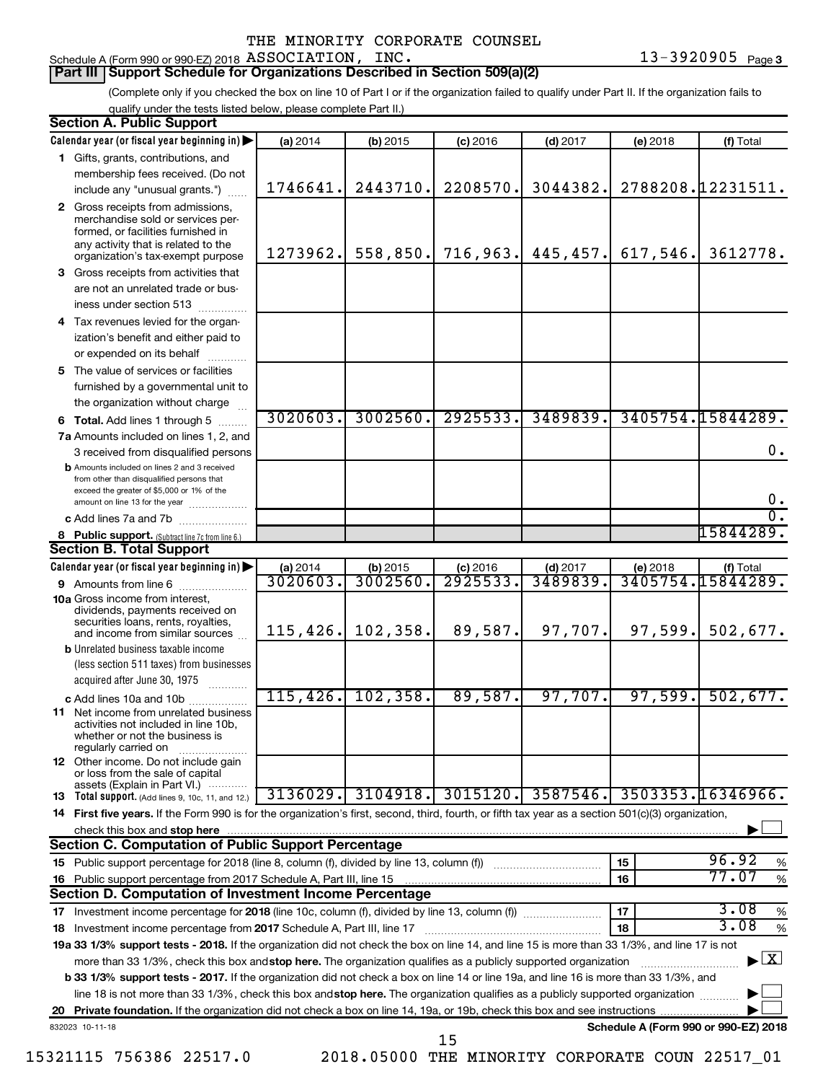#### Schedule A (Form 990 or 990-EZ) 2018 Page ASSOCIATION, INC. 13-3920905

#### **Part III Support Schedule for Organizations Described in Section 509(a)(2)**

(Complete only if you checked the box on line 10 of Part I or if the organization failed to qualify under Part II. If the organization fails to qualify under the tests listed below, please complete Part II.)

| <b>Section A. Public Support</b>                                                                                                                                                         |          |            |            |            |                                      |                                    |
|------------------------------------------------------------------------------------------------------------------------------------------------------------------------------------------|----------|------------|------------|------------|--------------------------------------|------------------------------------|
| Calendar year (or fiscal year beginning in)                                                                                                                                              | (a) 2014 | (b) 2015   | $(c)$ 2016 | $(d)$ 2017 | (e) 2018                             | (f) Total                          |
| 1 Gifts, grants, contributions, and                                                                                                                                                      |          |            |            |            |                                      |                                    |
| membership fees received. (Do not                                                                                                                                                        |          |            |            |            |                                      |                                    |
| include any "unusual grants.")                                                                                                                                                           | 1746641. | 2443710.   | 2208570.   | 3044382.   |                                      | 2788208.12231511.                  |
| 2 Gross receipts from admissions,<br>merchandise sold or services per-<br>formed, or facilities furnished in<br>any activity that is related to the<br>organization's tax-exempt purpose | 1273962. | 558,850.   | 716,963.   | 445, 457.  | 617,546.                             | 3612778.                           |
| 3 Gross receipts from activities that                                                                                                                                                    |          |            |            |            |                                      |                                    |
| are not an unrelated trade or bus-                                                                                                                                                       |          |            |            |            |                                      |                                    |
| iness under section 513                                                                                                                                                                  |          |            |            |            |                                      |                                    |
| 4 Tax revenues levied for the organ-                                                                                                                                                     |          |            |            |            |                                      |                                    |
| ization's benefit and either paid to                                                                                                                                                     |          |            |            |            |                                      |                                    |
| or expended on its behalf                                                                                                                                                                |          |            |            |            |                                      |                                    |
| 5 The value of services or facilities                                                                                                                                                    |          |            |            |            |                                      |                                    |
| furnished by a governmental unit to                                                                                                                                                      |          |            |            |            |                                      |                                    |
| the organization without charge                                                                                                                                                          |          |            |            |            |                                      |                                    |
| 6 Total. Add lines 1 through 5                                                                                                                                                           | 3020603. | 3002560.   | 2925533.   | 3489839.   |                                      | 3405754.15844289.                  |
| 7a Amounts included on lines 1, 2, and                                                                                                                                                   |          |            |            |            |                                      |                                    |
| 3 received from disqualified persons                                                                                                                                                     |          |            |            |            |                                      | 0.                                 |
| <b>b</b> Amounts included on lines 2 and 3 received<br>from other than disqualified persons that<br>exceed the greater of \$5,000 or 1% of the<br>amount on line 13 for the year         |          |            |            |            |                                      | 0.                                 |
| c Add lines 7a and 7b                                                                                                                                                                    |          |            |            |            |                                      | $\overline{0}$ .                   |
| 8 Public support. (Subtract line 7c from line 6.)                                                                                                                                        |          |            |            |            |                                      | 15844289.                          |
| <b>Section B. Total Support</b>                                                                                                                                                          |          |            |            |            |                                      |                                    |
| Calendar year (or fiscal year beginning in)                                                                                                                                              | (a) 2014 | $(b)$ 2015 | $(c)$ 2016 | $(d)$ 2017 | (e) 2018                             | (f) Total                          |
| 9 Amounts from line 6                                                                                                                                                                    | 3020603  | 3002560    | 2925533    | 3489839.   |                                      | 3405754.15844289.                  |
| <b>10a</b> Gross income from interest,<br>dividends, payments received on<br>securities loans, rents, royalties,                                                                         |          |            |            |            |                                      |                                    |
| and income from similar sources                                                                                                                                                          | 115,426. | 102,358.   | 89,587.    | 97,707.    | 97,599.                              | 502,677.                           |
| <b>b</b> Unrelated business taxable income<br>(less section 511 taxes) from businesses<br>acquired after June 30, 1975<br>.                                                              |          |            |            |            |                                      |                                    |
| c Add lines 10a and 10b                                                                                                                                                                  | 115,426. | 102, 358.  | 89,587.    | 97,707.    | 97,599.                              | 502, 677.                          |
| <b>11</b> Net income from unrelated business<br>activities not included in line 10b,<br>whether or not the business is<br>regularly carried on                                           |          |            |            |            |                                      |                                    |
| <b>12</b> Other income. Do not include gain<br>or loss from the sale of capital<br>assets (Explain in Part VI.)                                                                          |          |            |            |            |                                      |                                    |
| <b>13</b> Total support. (Add lines 9, 10c, 11, and 12.)                                                                                                                                 | 3136029. | 3104918.   | 3015120.   | 3587546.   |                                      | 3503353.16346966.                  |
| 14 First five years. If the Form 990 is for the organization's first, second, third, fourth, or fifth tax year as a section 501(c)(3) organization,                                      |          |            |            |            |                                      |                                    |
| check this box and stop here                                                                                                                                                             |          |            |            |            |                                      |                                    |
| <b>Section C. Computation of Public Support Percentage</b>                                                                                                                               |          |            |            |            |                                      |                                    |
|                                                                                                                                                                                          |          |            |            |            | 15                                   | 96.92<br>%                         |
| 16 Public support percentage from 2017 Schedule A, Part III, line 15                                                                                                                     |          |            |            |            | 16                                   | 77.07<br>$\%$                      |
| Section D. Computation of Investment Income Percentage                                                                                                                                   |          |            |            |            |                                      |                                    |
| 17 Investment income percentage for 2018 (line 10c, column (f), divided by line 13, column (f))                                                                                          |          |            |            |            | 17                                   | 3.08<br>%                          |
| 18 Investment income percentage from 2017 Schedule A, Part III, line 17                                                                                                                  |          |            |            |            | 18                                   | 3.08<br>%                          |
| 19a 33 1/3% support tests - 2018. If the organization did not check the box on line 14, and line 15 is more than 33 1/3%, and line 17 is not                                             |          |            |            |            |                                      |                                    |
| more than 33 1/3%, check this box and stop here. The organization qualifies as a publicly supported organization                                                                         |          |            |            |            |                                      | $\blacktriangleright$ $\mathbf{X}$ |
| <b>b 33 1/3% support tests - 2017.</b> If the organization did not check a box on line 14 or line 19a, and line 16 is more than 33 1/3%, and                                             |          |            |            |            |                                      |                                    |
| line 18 is not more than 33 1/3%, check this box and stop here. The organization qualifies as a publicly supported organization                                                          |          |            |            |            |                                      |                                    |
|                                                                                                                                                                                          |          |            |            |            |                                      |                                    |
| 832023 10-11-18                                                                                                                                                                          |          |            | 15         |            | Schedule A (Form 990 or 990-EZ) 2018 |                                    |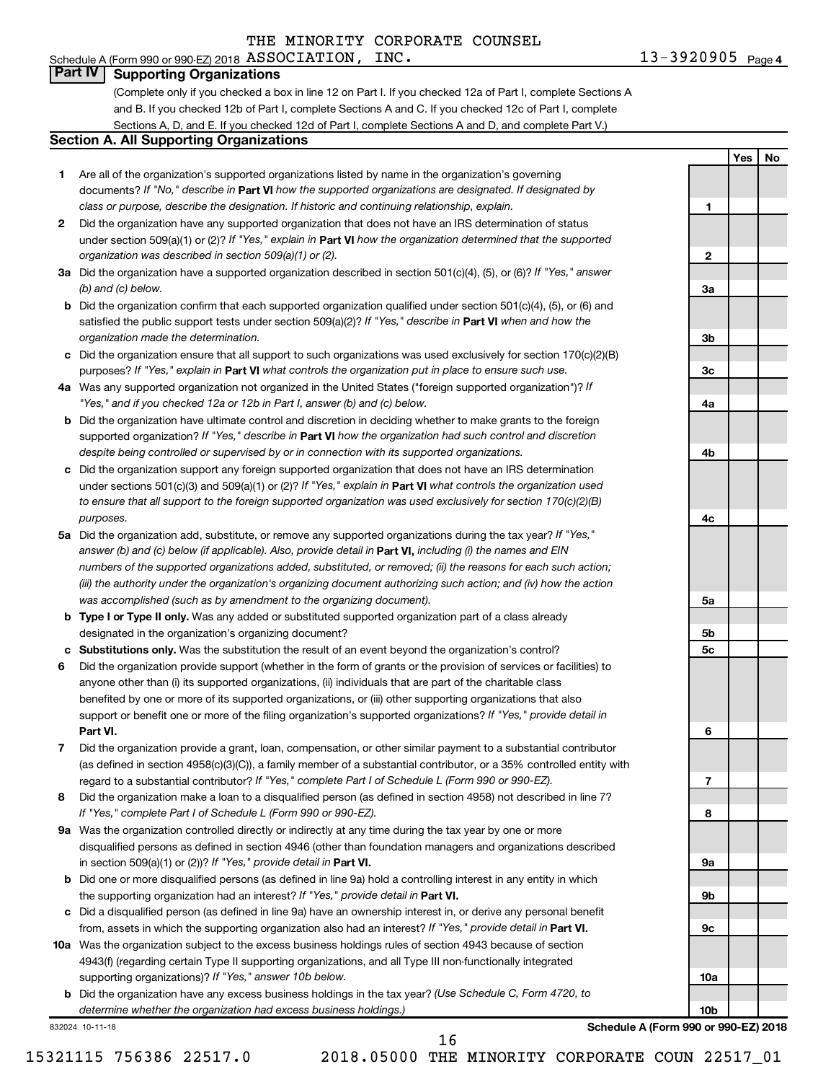#### Schedule A (Form 990 or 990-EZ) 2018 Page ASSOCIATION, INC. 13-3920905 **Part IV Supporting Organizations**

(Complete only if you checked a box in line 12 on Part I. If you checked 12a of Part I, complete Sections A and B. If you checked 12b of Part I, complete Sections A and C. If you checked 12c of Part I, complete Sections A, D, and E. If you checked 12d of Part I, complete Sections A and D, and complete Part V.)

#### **Section A. All Supporting Organizations**

- **1** Are all of the organization's supported organizations listed by name in the organization's governing documents? If "No," describe in Part VI how the supported organizations are designated. If designated by *class or purpose, describe the designation. If historic and continuing relationship, explain.*
- **2** Did the organization have any supported organization that does not have an IRS determination of status under section 509(a)(1) or (2)? If "Yes," explain in Part **VI** how the organization determined that the supported *organization was described in section 509(a)(1) or (2).*
- **3a** Did the organization have a supported organization described in section 501(c)(4), (5), or (6)? If "Yes," answer *(b) and (c) below.*
- **b** Did the organization confirm that each supported organization qualified under section 501(c)(4), (5), or (6) and satisfied the public support tests under section 509(a)(2)? If "Yes," describe in Part VI when and how the *organization made the determination.*
- **c** Did the organization ensure that all support to such organizations was used exclusively for section 170(c)(2)(B) purposes? If "Yes," explain in Part VI what controls the organization put in place to ensure such use.
- **4 a** *If* Was any supported organization not organized in the United States ("foreign supported organization")? *"Yes," and if you checked 12a or 12b in Part I, answer (b) and (c) below.*
- **b** Did the organization have ultimate control and discretion in deciding whether to make grants to the foreign supported organization? If "Yes," describe in Part VI how the organization had such control and discretion *despite being controlled or supervised by or in connection with its supported organizations.*
- **c** Did the organization support any foreign supported organization that does not have an IRS determination under sections 501(c)(3) and 509(a)(1) or (2)? If "Yes," explain in Part VI what controls the organization used *to ensure that all support to the foreign supported organization was used exclusively for section 170(c)(2)(B) purposes.*
- **5a** Did the organization add, substitute, or remove any supported organizations during the tax year? If "Yes," answer (b) and (c) below (if applicable). Also, provide detail in **Part VI,** including (i) the names and EIN *numbers of the supported organizations added, substituted, or removed; (ii) the reasons for each such action; (iii) the authority under the organization's organizing document authorizing such action; and (iv) how the action was accomplished (such as by amendment to the organizing document).*
- **b Type I or Type II only.** Was any added or substituted supported organization part of a class already designated in the organization's organizing document?
- **c Substitutions only.**  Was the substitution the result of an event beyond the organization's control?
- **6** Did the organization provide support (whether in the form of grants or the provision of services or facilities) to **Part VI.** support or benefit one or more of the filing organization's supported organizations? If "Yes," provide detail in anyone other than (i) its supported organizations, (ii) individuals that are part of the charitable class benefited by one or more of its supported organizations, or (iii) other supporting organizations that also
- **7** Did the organization provide a grant, loan, compensation, or other similar payment to a substantial contributor regard to a substantial contributor? If "Yes," complete Part I of Schedule L (Form 990 or 990-EZ). (as defined in section 4958(c)(3)(C)), a family member of a substantial contributor, or a 35% controlled entity with
- **8** Did the organization make a loan to a disqualified person (as defined in section 4958) not described in line 7? *If "Yes," complete Part I of Schedule L (Form 990 or 990-EZ).*
- **9 a** Was the organization controlled directly or indirectly at any time during the tax year by one or more in section 509(a)(1) or (2))? If "Yes," provide detail in **Part VI.** disqualified persons as defined in section 4946 (other than foundation managers and organizations described
- **b** Did one or more disqualified persons (as defined in line 9a) hold a controlling interest in any entity in which the supporting organization had an interest? If "Yes," provide detail in Part VI.
- **c** Did a disqualified person (as defined in line 9a) have an ownership interest in, or derive any personal benefit from, assets in which the supporting organization also had an interest? If "Yes," provide detail in Part VI.
- **10 a** Was the organization subject to the excess business holdings rules of section 4943 because of section supporting organizations)? If "Yes," answer 10b below. 4943(f) (regarding certain Type II supporting organizations, and all Type III non-functionally integrated
	- **b** Did the organization have any excess business holdings in the tax year? (Use Schedule C, Form 4720, to *determine whether the organization had excess business holdings.)*

832024 10-11-18



**Schedule A (Form 990 or 990-EZ) 2018**

**10b**

16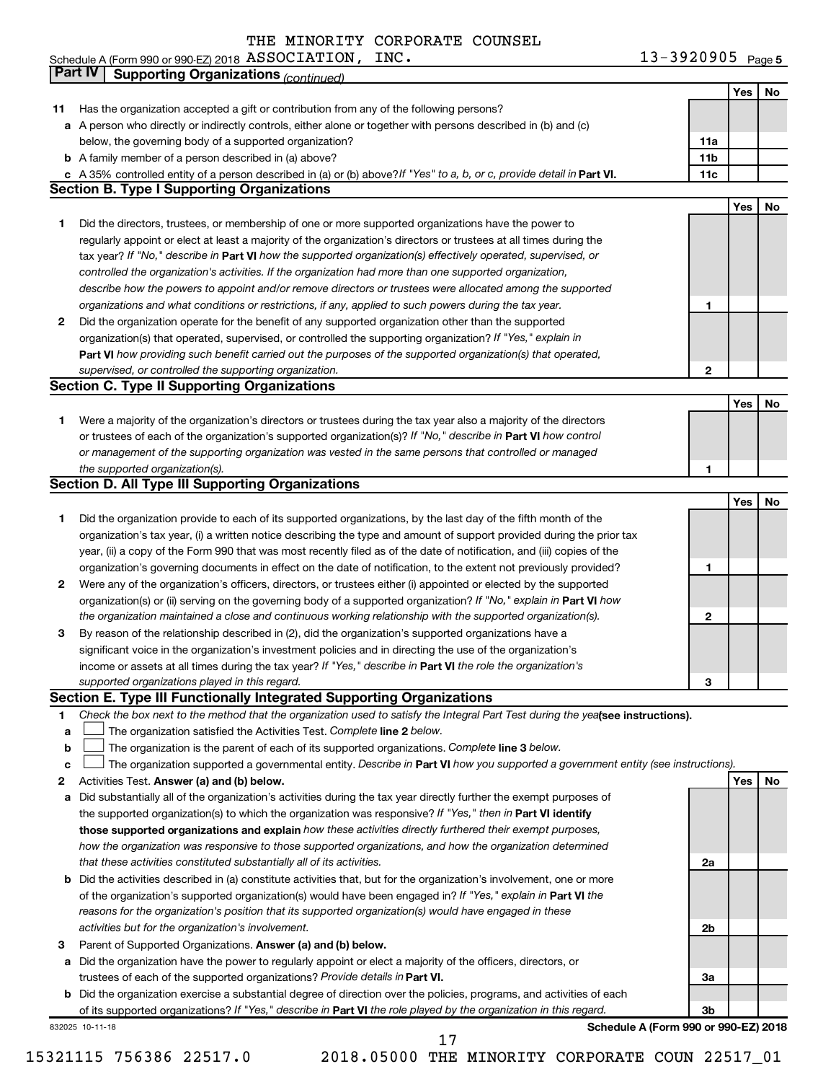| Schedule A (Form 990 or 990-EZ) 2018 $\,$ ASSOCIATION ,<br>INC. | 13-3920905 $Page 5$ |
|-----------------------------------------------------------------|---------------------|
|-----------------------------------------------------------------|---------------------|

|    | Part IV<br><b>Supporting Organizations (continued)</b>                                                                          |                 |            |    |
|----|---------------------------------------------------------------------------------------------------------------------------------|-----------------|------------|----|
|    |                                                                                                                                 |                 | Yes        | No |
| 11 | Has the organization accepted a gift or contribution from any of the following persons?                                         |                 |            |    |
|    | a A person who directly or indirectly controls, either alone or together with persons described in (b) and (c)                  |                 |            |    |
|    | below, the governing body of a supported organization?                                                                          | 11a             |            |    |
|    | <b>b</b> A family member of a person described in (a) above?                                                                    | 11 <sub>b</sub> |            |    |
|    | c A 35% controlled entity of a person described in (a) or (b) above? If "Yes" to a, b, or c, provide detail in Part VI.         | 11c             |            |    |
|    | <b>Section B. Type I Supporting Organizations</b>                                                                               |                 |            |    |
|    |                                                                                                                                 |                 | Yes        | No |
| 1  | Did the directors, trustees, or membership of one or more supported organizations have the power to                             |                 |            |    |
|    | regularly appoint or elect at least a majority of the organization's directors or trustees at all times during the              |                 |            |    |
|    | tax year? If "No," describe in Part VI how the supported organization(s) effectively operated, supervised, or                   |                 |            |    |
|    | controlled the organization's activities. If the organization had more than one supported organization,                         |                 |            |    |
|    | describe how the powers to appoint and/or remove directors or trustees were allocated among the supported                       |                 |            |    |
|    | organizations and what conditions or restrictions, if any, applied to such powers during the tax year.                          | 1               |            |    |
| 2  | Did the organization operate for the benefit of any supported organization other than the supported                             |                 |            |    |
|    | organization(s) that operated, supervised, or controlled the supporting organization? If "Yes," explain in                      |                 |            |    |
|    | Part VI how providing such benefit carried out the purposes of the supported organization(s) that operated,                     |                 |            |    |
|    | supervised, or controlled the supporting organization.                                                                          | $\mathbf{2}$    |            |    |
|    | <b>Section C. Type II Supporting Organizations</b>                                                                              |                 |            |    |
|    |                                                                                                                                 |                 | <b>Yes</b> | No |
| 1. | Were a majority of the organization's directors or trustees during the tax year also a majority of the directors                |                 |            |    |
|    | or trustees of each of the organization's supported organization(s)? If "No," describe in Part VI how control                   |                 |            |    |
|    | or management of the supporting organization was vested in the same persons that controlled or managed                          |                 |            |    |
|    | the supported organization(s).                                                                                                  | 1               |            |    |
|    | <b>Section D. All Type III Supporting Organizations</b>                                                                         |                 |            |    |
|    |                                                                                                                                 |                 | Yes        | No |
| 1  | Did the organization provide to each of its supported organizations, by the last day of the fifth month of the                  |                 |            |    |
|    | organization's tax year, (i) a written notice describing the type and amount of support provided during the prior tax           |                 |            |    |
|    | year, (ii) a copy of the Form 990 that was most recently filed as of the date of notification, and (iii) copies of the          |                 |            |    |
|    | organization's governing documents in effect on the date of notification, to the extent not previously provided?                | 1               |            |    |
| 2  | Were any of the organization's officers, directors, or trustees either (i) appointed or elected by the supported                |                 |            |    |
|    | organization(s) or (ii) serving on the governing body of a supported organization? If "No," explain in Part VI how              |                 |            |    |
|    | the organization maintained a close and continuous working relationship with the supported organization(s).                     | $\mathbf{2}$    |            |    |
| 3  | By reason of the relationship described in (2), did the organization's supported organizations have a                           |                 |            |    |
|    | significant voice in the organization's investment policies and in directing the use of the organization's                      |                 |            |    |
|    | income or assets at all times during the tax year? If "Yes," describe in Part VI the role the organization's                    |                 |            |    |
|    | supported organizations played in this regard.                                                                                  | з               |            |    |
|    | Section E. Type III Functionally Integrated Supporting Organizations                                                            |                 |            |    |
| 1  | Check the box next to the method that the organization used to satisfy the Integral Part Test during the yealsee instructions). |                 |            |    |
| a  | The organization satisfied the Activities Test. Complete line 2 below.                                                          |                 |            |    |
| b  | The organization is the parent of each of its supported organizations. Complete line 3 below.                                   |                 |            |    |
| c  | The organization supported a governmental entity. Describe in Part VI how you supported a government entity (see instructions). |                 |            |    |
| 2  | Activities Test. Answer (a) and (b) below.                                                                                      |                 | Yes        | No |
| а  | Did substantially all of the organization's activities during the tax year directly further the exempt purposes of              |                 |            |    |
|    | the supported organization(s) to which the organization was responsive? If "Yes," then in Part VI identify                      |                 |            |    |
|    | those supported organizations and explain how these activities directly furthered their exempt purposes,                        |                 |            |    |
|    | how the organization was responsive to those supported organizations, and how the organization determined                       |                 |            |    |
|    | that these activities constituted substantially all of its activities.                                                          | 2a              |            |    |
| b  | Did the activities described in (a) constitute activities that, but for the organization's involvement, one or more             |                 |            |    |
|    | of the organization's supported organization(s) would have been engaged in? If "Yes," explain in Part VI the                    |                 |            |    |
|    | reasons for the organization's position that its supported organization(s) would have engaged in these                          |                 |            |    |
|    | activities but for the organization's involvement.                                                                              | 2b              |            |    |
| 3  | Parent of Supported Organizations. Answer (a) and (b) below.                                                                    |                 |            |    |
| а  | Did the organization have the power to regularly appoint or elect a majority of the officers, directors, or                     |                 |            |    |
|    | trustees of each of the supported organizations? Provide details in Part VI.                                                    | За              |            |    |
|    | <b>b</b> Did the organization exercise a substantial degree of direction over the policies, programs, and activities of each    |                 |            |    |
|    | of its supported organizations? If "Yes," describe in Part VI the role played by the organization in this regard.               | 3b              |            |    |
|    | Schedule A (Form 990 or 990-EZ) 2018<br>832025 10-11-18                                                                         |                 |            |    |
|    | 17                                                                                                                              |                 |            |    |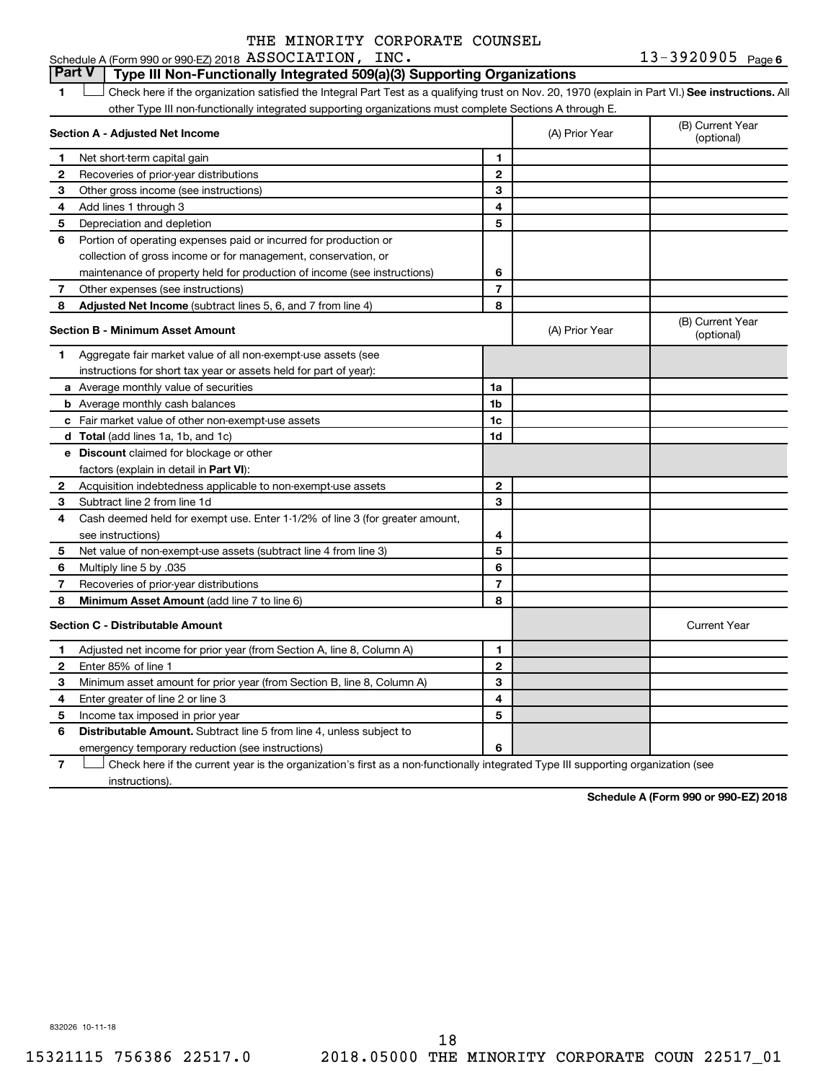13-3920905 Page 6 Schedule A (Form 990 or 990-EZ) 2018 Page ASSOCIATION, INC. 13-3920905

# **Part V Type III Non-Functionally Integrated 509(a)(3) Supporting Organizations**

1 **Letter See instructions.** All Check here if the organization satisfied the Integral Part Test as a qualifying trust on Nov. 20, 1970 (explain in Part VI.) See instructions. All other Type III non-functionally integrated supporting organizations must complete Sections A through E.

|              | Section A - Adjusted Net Income                                              |                | (A) Prior Year | (B) Current Year<br>(optional) |
|--------------|------------------------------------------------------------------------------|----------------|----------------|--------------------------------|
| 1            | Net short-term capital gain                                                  | 1              |                |                                |
| 2            | Recoveries of prior-year distributions                                       | $\overline{2}$ |                |                                |
| 3            | Other gross income (see instructions)                                        | 3              |                |                                |
| 4            | Add lines 1 through 3                                                        | 4              |                |                                |
| 5            | Depreciation and depletion                                                   | 5              |                |                                |
| 6            | Portion of operating expenses paid or incurred for production or             |                |                |                                |
|              | collection of gross income or for management, conservation, or               |                |                |                                |
|              | maintenance of property held for production of income (see instructions)     | 6              |                |                                |
| 7            | Other expenses (see instructions)                                            | $\overline{7}$ |                |                                |
| 8            | Adjusted Net Income (subtract lines 5, 6, and 7 from line 4)                 | 8              |                |                                |
|              | <b>Section B - Minimum Asset Amount</b>                                      |                | (A) Prior Year | (B) Current Year<br>(optional) |
| 1.           | Aggregate fair market value of all non-exempt-use assets (see                |                |                |                                |
|              | instructions for short tax year or assets held for part of year):            |                |                |                                |
|              | <b>a</b> Average monthly value of securities                                 | 1a             |                |                                |
|              | <b>b</b> Average monthly cash balances                                       | 1b             |                |                                |
|              | <b>c</b> Fair market value of other non-exempt-use assets                    | 1c             |                |                                |
|              | d Total (add lines 1a, 1b, and 1c)                                           | 1d             |                |                                |
|              | e Discount claimed for blockage or other                                     |                |                |                                |
|              | factors (explain in detail in <b>Part VI</b> ):                              |                |                |                                |
| 2            | Acquisition indebtedness applicable to non-exempt-use assets                 | $\mathbf{2}$   |                |                                |
| З            | Subtract line 2 from line 1d                                                 | 3              |                |                                |
| 4            | Cash deemed held for exempt use. Enter 1-1/2% of line 3 (for greater amount, |                |                |                                |
|              | see instructions)                                                            | 4              |                |                                |
| 5            | Net value of non-exempt-use assets (subtract line 4 from line 3)             | 5              |                |                                |
| 6            | Multiply line 5 by .035                                                      | 6              |                |                                |
| 7            | Recoveries of prior-year distributions                                       | 7              |                |                                |
| 8            | Minimum Asset Amount (add line 7 to line 6)                                  | 8              |                |                                |
|              | <b>Section C - Distributable Amount</b>                                      |                |                | <b>Current Year</b>            |
| 1            | Adjusted net income for prior year (from Section A, line 8, Column A)        | 1              |                |                                |
| $\mathbf{2}$ | Enter 85% of line 1                                                          | $\overline{2}$ |                |                                |
| з            | Minimum asset amount for prior year (from Section B, line 8, Column A)       | 3              |                |                                |
| 4            | Enter greater of line 2 or line 3                                            | 4              |                |                                |
| 5            | Income tax imposed in prior year                                             | 5              |                |                                |
| 6            | Distributable Amount. Subtract line 5 from line 4, unless subject to         |                |                |                                |
|              | emergency temporary reduction (see instructions)                             | 6              |                |                                |
|              |                                                                              |                |                |                                |

**7** Let Check here if the current year is the organization's first as a non-functionally integrated Type III supporting organization (see instructions).

**Schedule A (Form 990 or 990-EZ) 2018**

832026 10-11-18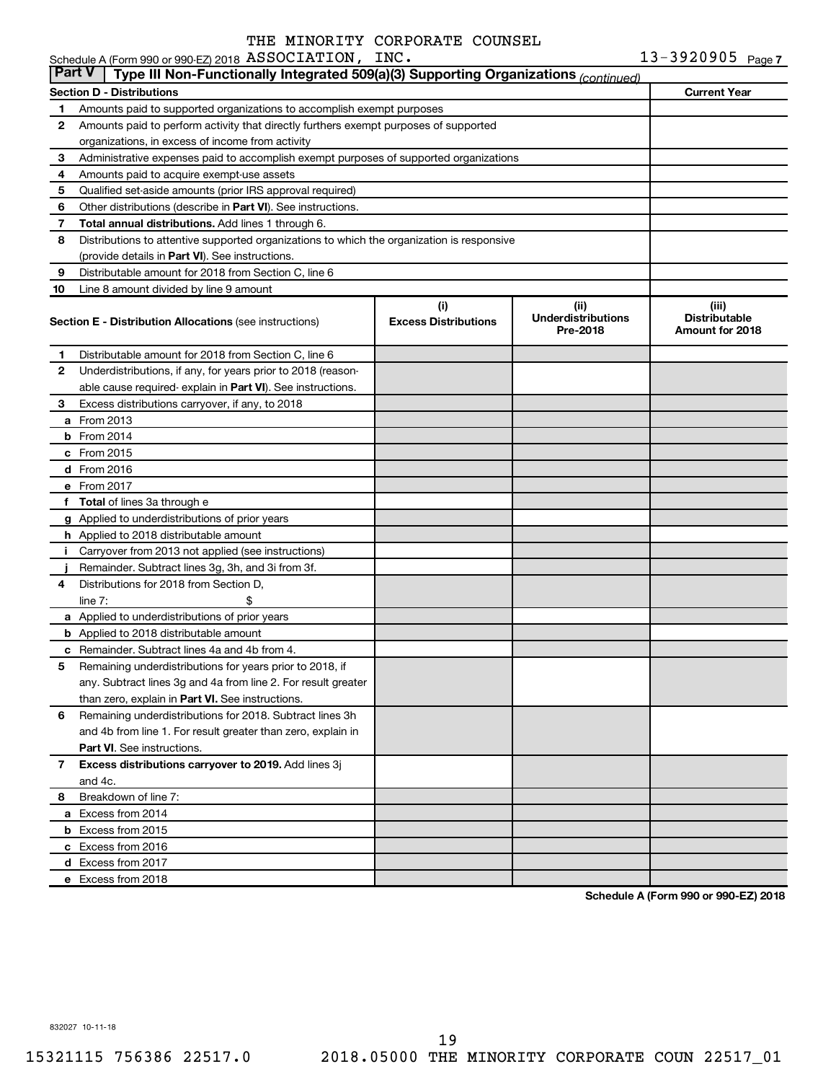|               | Schedule A (Form 990 or 990-EZ) 2018 ASSOCIATION, INC.                                     |                                    |                                                | 13-3920905 Page 7                                |
|---------------|--------------------------------------------------------------------------------------------|------------------------------------|------------------------------------------------|--------------------------------------------------|
| <b>Part V</b> | Type III Non-Functionally Integrated 509(a)(3) Supporting Organizations (continued)        |                                    |                                                |                                                  |
|               | <b>Section D - Distributions</b>                                                           |                                    |                                                | <b>Current Year</b>                              |
| 1             | Amounts paid to supported organizations to accomplish exempt purposes                      |                                    |                                                |                                                  |
| 2             | Amounts paid to perform activity that directly furthers exempt purposes of supported       |                                    |                                                |                                                  |
|               | organizations, in excess of income from activity                                           |                                    |                                                |                                                  |
| 3             | Administrative expenses paid to accomplish exempt purposes of supported organizations      |                                    |                                                |                                                  |
| 4             | Amounts paid to acquire exempt-use assets                                                  |                                    |                                                |                                                  |
| 5             | Qualified set-aside amounts (prior IRS approval required)                                  |                                    |                                                |                                                  |
| 6             | Other distributions (describe in Part VI). See instructions.                               |                                    |                                                |                                                  |
| 7             | Total annual distributions. Add lines 1 through 6.                                         |                                    |                                                |                                                  |
| 8             | Distributions to attentive supported organizations to which the organization is responsive |                                    |                                                |                                                  |
|               | (provide details in Part VI). See instructions.                                            |                                    |                                                |                                                  |
| 9             | Distributable amount for 2018 from Section C, line 6                                       |                                    |                                                |                                                  |
| 10            | Line 8 amount divided by line 9 amount                                                     |                                    |                                                |                                                  |
|               | <b>Section E - Distribution Allocations (see instructions)</b>                             | (i)<br><b>Excess Distributions</b> | (iii)<br><b>Underdistributions</b><br>Pre-2018 | (iii)<br><b>Distributable</b><br>Amount for 2018 |
| 1.            | Distributable amount for 2018 from Section C, line 6                                       |                                    |                                                |                                                  |
| 2             | Underdistributions, if any, for years prior to 2018 (reason-                               |                                    |                                                |                                                  |
|               | able cause required-explain in Part VI). See instructions.                                 |                                    |                                                |                                                  |
| З             | Excess distributions carryover, if any, to 2018                                            |                                    |                                                |                                                  |
|               | <b>a</b> From 2013                                                                         |                                    |                                                |                                                  |
|               | $b$ From 2014                                                                              |                                    |                                                |                                                  |
|               | $c$ From 2015                                                                              |                                    |                                                |                                                  |
|               | d From 2016                                                                                |                                    |                                                |                                                  |
|               | e From 2017                                                                                |                                    |                                                |                                                  |
|               | f Total of lines 3a through e                                                              |                                    |                                                |                                                  |
|               | g Applied to underdistributions of prior years                                             |                                    |                                                |                                                  |
|               | h Applied to 2018 distributable amount                                                     |                                    |                                                |                                                  |
| j.            | Carryover from 2013 not applied (see instructions)                                         |                                    |                                                |                                                  |
|               | Remainder. Subtract lines 3g, 3h, and 3i from 3f.                                          |                                    |                                                |                                                  |
| 4             | Distributions for 2018 from Section D,                                                     |                                    |                                                |                                                  |
|               | \$<br>line $7:$                                                                            |                                    |                                                |                                                  |
|               | a Applied to underdistributions of prior years                                             |                                    |                                                |                                                  |
|               | <b>b</b> Applied to 2018 distributable amount                                              |                                    |                                                |                                                  |
|               | <b>c</b> Remainder. Subtract lines 4a and 4b from 4.                                       |                                    |                                                |                                                  |
| 5             | Remaining underdistributions for years prior to 2018, if                                   |                                    |                                                |                                                  |
|               | any. Subtract lines 3g and 4a from line 2. For result greater                              |                                    |                                                |                                                  |
|               | than zero, explain in Part VI. See instructions.                                           |                                    |                                                |                                                  |
| 6             | Remaining underdistributions for 2018. Subtract lines 3h                                   |                                    |                                                |                                                  |
|               | and 4b from line 1. For result greater than zero, explain in                               |                                    |                                                |                                                  |
|               | <b>Part VI.</b> See instructions.                                                          |                                    |                                                |                                                  |
| 7             | Excess distributions carryover to 2019. Add lines 3j                                       |                                    |                                                |                                                  |
|               | and 4c.                                                                                    |                                    |                                                |                                                  |
| 8             | Breakdown of line 7:                                                                       |                                    |                                                |                                                  |
|               | a Excess from 2014                                                                         |                                    |                                                |                                                  |
|               | <b>b</b> Excess from 2015                                                                  |                                    |                                                |                                                  |
|               | c Excess from 2016                                                                         |                                    |                                                |                                                  |
|               | d Excess from 2017                                                                         |                                    |                                                |                                                  |
|               | e Excess from 2018                                                                         |                                    |                                                |                                                  |

**Schedule A (Form 990 or 990-EZ) 2018**

832027 10-11-18